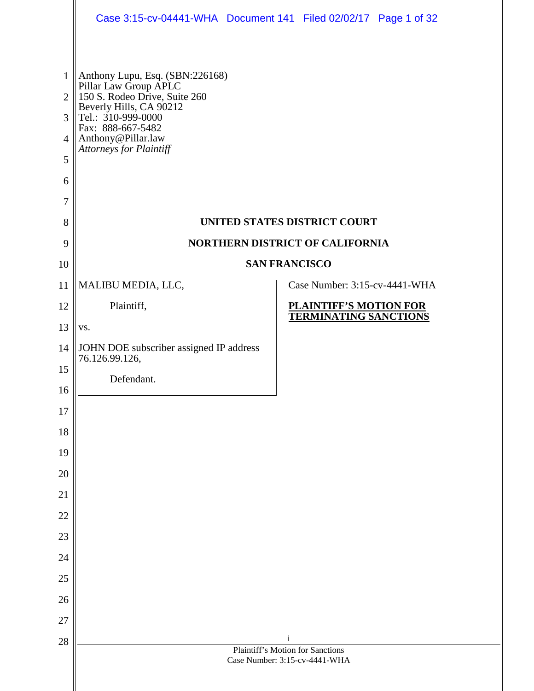|                                                                                | Case 3:15-cv-04441-WHA  Document 141  Filed 02/02/17  Page 1 of 32                                                                                                                                               |              |                                  |  |
|--------------------------------------------------------------------------------|------------------------------------------------------------------------------------------------------------------------------------------------------------------------------------------------------------------|--------------|----------------------------------|--|
| $\mathbf{1}$<br>$\overline{2}$<br>3<br>$\overline{4}$<br>5<br>6<br>$\tau$<br>8 | Anthony Lupu, Esq. (SBN:226168)<br>Pillar Law Group APLC<br>150 S. Rodeo Drive, Suite 260<br>Beverly Hills, CA 90212<br>Tel.: 310-999-0000<br>Fax: 888-667-5482<br>Anthony@Pillar.law<br>Attorneys for Plaintiff |              | UNITED STATES DISTRICT COURT     |  |
| 9<br>10                                                                        | NORTHERN DISTRICT OF CALIFORNIA                                                                                                                                                                                  |              | <b>SAN FRANCISCO</b>             |  |
| 11                                                                             | MALIBU MEDIA, LLC,                                                                                                                                                                                               |              | Case Number: 3:15-cv-4441-WHA    |  |
| 12                                                                             | Plaintiff,                                                                                                                                                                                                       |              | <b>PLAINTIFF'S MOTION FOR</b>    |  |
| 13                                                                             | VS.                                                                                                                                                                                                              |              | <b>TERMINATING SANCTIONS</b>     |  |
| 14                                                                             | JOHN DOE subscriber assigned IP address<br>76.126.99.126,                                                                                                                                                        |              |                                  |  |
| 15                                                                             | Defendant.                                                                                                                                                                                                       |              |                                  |  |
| 16                                                                             |                                                                                                                                                                                                                  |              |                                  |  |
| 17                                                                             |                                                                                                                                                                                                                  |              |                                  |  |
| 18                                                                             |                                                                                                                                                                                                                  |              |                                  |  |
| 19                                                                             |                                                                                                                                                                                                                  |              |                                  |  |
| 20<br>21                                                                       |                                                                                                                                                                                                                  |              |                                  |  |
| 22                                                                             |                                                                                                                                                                                                                  |              |                                  |  |
| 23                                                                             |                                                                                                                                                                                                                  |              |                                  |  |
| 24                                                                             |                                                                                                                                                                                                                  |              |                                  |  |
| 25                                                                             |                                                                                                                                                                                                                  |              |                                  |  |
| 26                                                                             |                                                                                                                                                                                                                  |              |                                  |  |
| 27                                                                             |                                                                                                                                                                                                                  |              |                                  |  |
| 28                                                                             |                                                                                                                                                                                                                  | $\mathbf{i}$ | Plaintiff's Motion for Sanctions |  |
|                                                                                |                                                                                                                                                                                                                  |              | Case Number: 3:15-cv-4441-WHA    |  |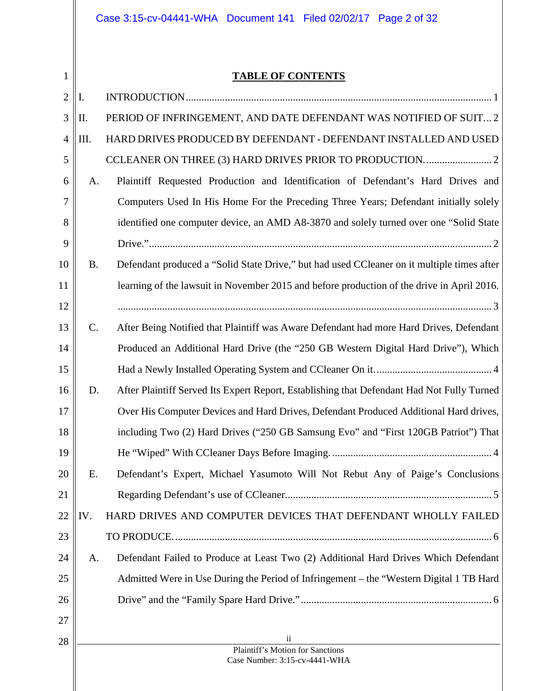# Case 3:15-cv-04441-WHA Document 141 Filed 02/02/17 Page 2 of 32

1

## **TABLE OF CONTENTS**

| $\overline{2}$ | I.        |                                                                                            |
|----------------|-----------|--------------------------------------------------------------------------------------------|
| 3              | Π.        | PERIOD OF INFRINGEMENT, AND DATE DEFENDANT WAS NOTIFIED OF SUIT 2                          |
| $\overline{4}$ | Ш.        | HARD DRIVES PRODUCED BY DEFENDANT - DEFENDANT INSTALLED AND USED                           |
| 5              |           |                                                                                            |
| 6              | A.        | Plaintiff Requested Production and Identification of Defendant's Hard Drives and           |
| 7              |           | Computers Used In His Home For the Preceding Three Years; Defendant initially solely       |
| 8              |           | identified one computer device, an AMD A8-3870 and solely turned over one "Solid State"    |
| 9              |           |                                                                                            |
| 10             | <b>B.</b> | Defendant produced a "Solid State Drive," but had used CCleaner on it multiple times after |
| 11             |           | learning of the lawsuit in November 2015 and before production of the drive in April 2016. |
| 12             |           |                                                                                            |
| 13             | C.        | After Being Notified that Plaintiff was Aware Defendant had more Hard Drives, Defendant    |
| 14             |           | Produced an Additional Hard Drive (the "250 GB Western Digital Hard Drive"), Which         |
| 15             |           |                                                                                            |
| 16             | D.        | After Plaintiff Served Its Expert Report, Establishing that Defendant Had Not Fully Turned |
| 17             |           | Over His Computer Devices and Hard Drives, Defendant Produced Additional Hard drives,      |
| 18             |           | including Two (2) Hard Drives ("250 GB Samsung Evo" and "First 120GB Patriot") That        |
| 19             |           |                                                                                            |
| 20             | Е.        | Defendant's Expert, Michael Yasumoto Will Not Rebut Any of Paige's Conclusions             |
| 21             |           |                                                                                            |
| 22             | IV.       | HARD DRIVES AND COMPUTER DEVICES THAT DEFENDANT WHOLLY FAILED                              |
| 23             |           |                                                                                            |
| 24             | А.        | Defendant Failed to Produce at Least Two (2) Additional Hard Drives Which Defendant        |
| 25             |           | Admitted Were in Use During the Period of Infringement – the "Western Digital 1 TB Hard    |
| 26             |           |                                                                                            |
| 27             |           |                                                                                            |
| 28             |           | $\overline{\mathbf{1}}$<br>Plaintiff's Motion for Sanctions                                |
|                |           | Case Number: 3:15-cv-4441-WHA                                                              |
|                |           |                                                                                            |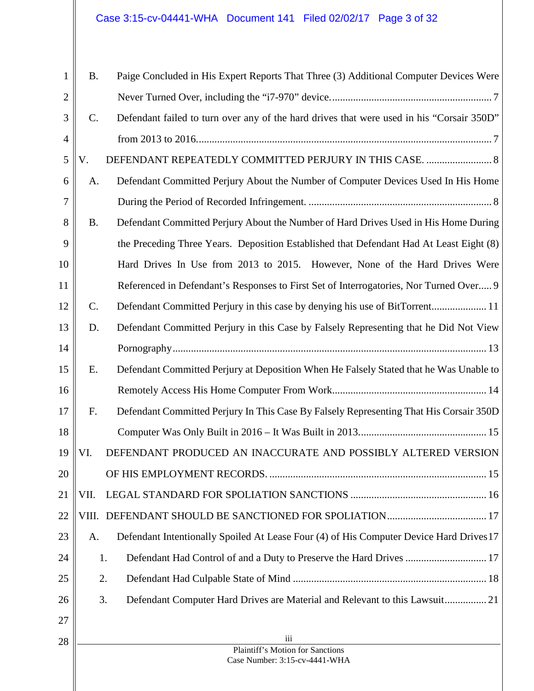| 1              | <b>B.</b>      | Paige Concluded in His Expert Reports That Three (3) Additional Computer Devices Were     |
|----------------|----------------|-------------------------------------------------------------------------------------------|
| $\overline{2}$ |                |                                                                                           |
| 3              | $C_{\cdot}$    | Defendant failed to turn over any of the hard drives that were used in his "Corsair 350D" |
| $\overline{4}$ |                |                                                                                           |
| 5              | V.             | DEFENDANT REPEATEDLY COMMITTED PERJURY IN THIS CASE.  8                                   |
| 6              | A.             | Defendant Committed Perjury About the Number of Computer Devices Used In His Home         |
| 7              |                |                                                                                           |
| 8              | <b>B.</b>      | Defendant Committed Perjury About the Number of Hard Drives Used in His Home During       |
| 9              |                | the Preceding Three Years. Deposition Established that Defendant Had At Least Eight (8)   |
| 10             |                | Hard Drives In Use from 2013 to 2015. However, None of the Hard Drives Were               |
| 11             |                | Referenced in Defendant's Responses to First Set of Interrogatories, Nor Turned Over 9    |
| 12             | $\mathbf{C}$ . |                                                                                           |
| 13             | D.             | Defendant Committed Perjury in this Case by Falsely Representing that he Did Not View     |
| 14             |                |                                                                                           |
| 15             | Е.             | Defendant Committed Perjury at Deposition When He Falsely Stated that he Was Unable to    |
| 16             |                |                                                                                           |
| 17             | F.             | Defendant Committed Perjury In This Case By Falsely Representing That His Corsair 350D    |
| 18             |                |                                                                                           |
| 19             | VI.            | DEFENDANT PRODUCED AN INACCURATE AND POSSIBLY ALTERED VERSION                             |
| 20             |                |                                                                                           |
| 21             | VII.           |                                                                                           |
| 22             |                |                                                                                           |
| 23             | A.             | Defendant Intentionally Spoiled At Lease Four (4) of His Computer Device Hard Drives 17   |
| 24             |                | Defendant Had Control of and a Duty to Preserve the Hard Drives  17<br>1.                 |
| 25             |                | 2.                                                                                        |
| 26             |                | 3.<br>Defendant Computer Hard Drives are Material and Relevant to this Lawsuit 21         |
| 27             |                |                                                                                           |
| 28             |                | iii<br>Plaintiff's Motion for Sanctions                                                   |
|                |                | Case Number: 3:15-cv-4441-WHA                                                             |
|                |                |                                                                                           |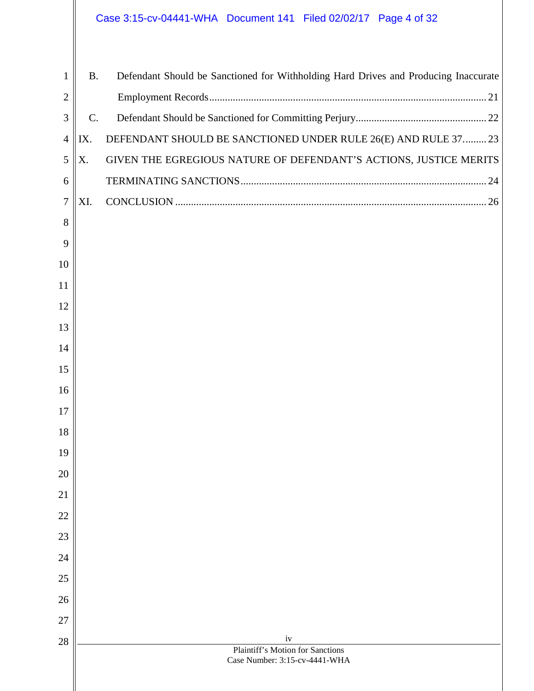# Case 3:15-cv-04441-WHA Document 141 Filed 02/02/17 Page 4 of 32

| 1              | <b>B.</b> | Defendant Should be Sanctioned for Withholding Hard Drives and Producing Inaccurate |
|----------------|-----------|-------------------------------------------------------------------------------------|
| $\overline{c}$ |           |                                                                                     |
| 3              | C.        |                                                                                     |
| 4              | IX.       | DEFENDANT SHOULD BE SANCTIONED UNDER RULE 26(E) AND RULE 37 23                      |
| 5              | X.        | GIVEN THE EGREGIOUS NATURE OF DEFENDANT'S ACTIONS, JUSTICE MERITS                   |
| 6              |           |                                                                                     |
|                |           |                                                                                     |
| 7              | XI.       |                                                                                     |
| 8              |           |                                                                                     |
| 9              |           |                                                                                     |
| 10             |           |                                                                                     |
| 11             |           |                                                                                     |
| 12             |           |                                                                                     |
| 13             |           |                                                                                     |
| 14             |           |                                                                                     |
| 15             |           |                                                                                     |
| 16             |           |                                                                                     |
| 17             |           |                                                                                     |
| 18             |           |                                                                                     |
| 19             |           |                                                                                     |
| 20             |           |                                                                                     |
| 21             |           |                                                                                     |
| 22             |           |                                                                                     |
| 23             |           |                                                                                     |
| 24             |           |                                                                                     |
| 25             |           |                                                                                     |
| 26             |           |                                                                                     |
| 27             |           |                                                                                     |
| 28             |           | iv<br>Plaintiff's Motion for Sanctions                                              |
|                |           | Case Number: 3:15-cv-4441-WHA                                                       |
|                |           |                                                                                     |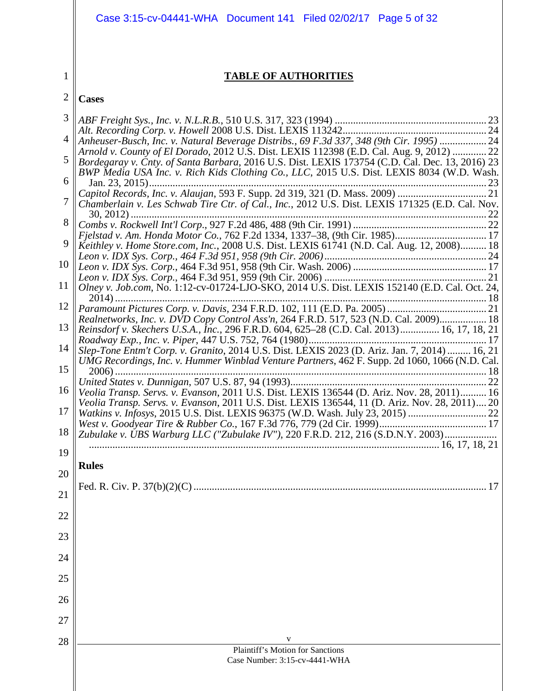|                | Case 3:15-cv-04441-WHA Document 141 Filed 02/02/17 Page 5 of 32                                                                                                                              |
|----------------|----------------------------------------------------------------------------------------------------------------------------------------------------------------------------------------------|
|                |                                                                                                                                                                                              |
| 1              | <b>TABLE OF AUTHORITIES</b>                                                                                                                                                                  |
| $\overline{2}$ |                                                                                                                                                                                              |
|                | <b>Cases</b>                                                                                                                                                                                 |
| 3              |                                                                                                                                                                                              |
| $\overline{4}$ | Anheuser-Busch, Inc. v. Natural Beverage Distribs., 69 F.3d 337, 348 (9th Cir. 1995)  24<br>Arnold v. County of El Dorado, 2012 U.S. Dist. LEXIS 112398 (E.D. Cal. Aug. 9, 2012)  22         |
| 5              | Bordegaray v. Cnty. of Santa Barbara, 2016 U.S. Dist. LEXIS 173754 (C.D. Cal. Dec. 13, 2016) 23<br>BWP Media USA Inc. v. Rich Kids Clothing Co., LLC, 2015 U.S. Dist. LEXIS 8034 (W.D. Wash. |
| 6              |                                                                                                                                                                                              |
| 7              | Chamberlain v. Les Schwab Tire Ctr. of Cal., Inc., 2012 U.S. Dist. LEXIS 171325 (E.D. Cal. Nov.                                                                                              |
| 8              |                                                                                                                                                                                              |
| 9              | Keithley v. Home Store.com, Inc., 2008 U.S. Dist. LEXIS 61741 (N.D. Cal. Aug. 12, 2008) 18                                                                                                   |
| 10             |                                                                                                                                                                                              |
| 11             | Olney v. Job.com, No. 1:12-cv-01724-LJO-SKO, 2014 U.S. Dist. LEXIS 152140 (E.D. Cal. Oct. 24,                                                                                                |
| 12             |                                                                                                                                                                                              |
| 13             | Realnetworks, Inc. v. DVD Copy Control Ass'n, 264 F.R.D. 517, 523 (N.D. Cal. 2009) 18<br>Reinsdorf v. Skechers U.S.A., Inc., 296 F.R.D. 604, 625–28 (C.D. Cal. 2013) 16, 17, 18, 21          |
| 14             | Slep-Tone Entm't Corp. v. Granito, 2014 U.S. Dist. LEXIS 2023 (D. Ariz. Jan. 7, 2014)  16, 21                                                                                                |
| 15             | UMG Recordings, Inc. v. Hummer Winblad Venture Partners, 462 F. Supp. 2d 1060, 1066 (N.D. Cal.                                                                                               |
| 16             |                                                                                                                                                                                              |
| 17             | Veolia Transp. Servs. v. Evanson, 2011 U.S. Dist. LEXIS 136544, 11 (D. Ariz. Nov. 28, 2011) 20                                                                                               |
| 18             | Zubulake v. UBS Warburg LLC ("Zubulake IV"), 220 F.R.D. 212, 216 (S.D.N.Y. 2003)                                                                                                             |
| 19             |                                                                                                                                                                                              |
| 20             | <b>Rules</b>                                                                                                                                                                                 |
| 21             |                                                                                                                                                                                              |
| 22             |                                                                                                                                                                                              |
| 23             |                                                                                                                                                                                              |
| 24             |                                                                                                                                                                                              |
| 25             |                                                                                                                                                                                              |
| 26             |                                                                                                                                                                                              |
| 27             |                                                                                                                                                                                              |
| 28             | V                                                                                                                                                                                            |
|                | <b>Plaintiff's Motion for Sanctions</b><br>Case Number: 3:15-cv-4441-WHA                                                                                                                     |
|                |                                                                                                                                                                                              |
|                |                                                                                                                                                                                              |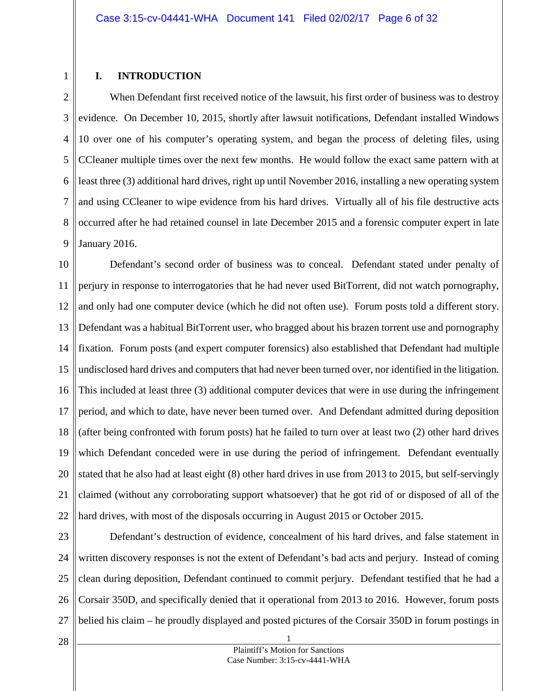#### <span id="page-5-0"></span>**I. INTRODUCTION**

1

2 3 4 5 6 7 8 9 When Defendant first received notice of the lawsuit, his first order of business was to destroy evidence. On December 10, 2015, shortly after lawsuit notifications, Defendant installed Windows 10 over one of his computer's operating system, and began the process of deleting files, using CCleaner multiple times over the next few months. He would follow the exact same pattern with at least three (3) additional hard drives, right up until November 2016, installing a new operating system and using CCleaner to wipe evidence from his hard drives. Virtually all of his file destructive acts occurred after he had retained counsel in late December 2015 and a forensic computer expert in late January 2016.

10 11 12 13 14 15 16 17 18 19 20 21 22 Defendant's second order of business was to conceal. Defendant stated under penalty of perjury in response to interrogatories that he had never used BitTorrent, did not watch pornography, and only had one computer device (which he did not often use). Forum posts told a different story. Defendant was a habitual BitTorrent user, who bragged about his brazen torrent use and pornography fixation. Forum posts (and expert computer forensics) also established that Defendant had multiple undisclosed hard drives and computers that had never been turned over, nor identified in the litigation. This included at least three (3) additional computer devices that were in use during the infringement period, and which to date, have never been turned over. And Defendant admitted during deposition (after being confronted with forum posts) hat he failed to turn over at least two (2) other hard drives which Defendant conceded were in use during the period of infringement. Defendant eventually stated that he also had at least eight (8) other hard drives in use from 2013 to 2015, but self-servingly claimed (without any corroborating support whatsoever) that he got rid of or disposed of all of the hard drives, with most of the disposals occurring in August 2015 or October 2015.

23 24 25 26 27 Defendant's destruction of evidence, concealment of his hard drives, and false statement in written discovery responses is not the extent of Defendant's bad acts and perjury. Instead of coming clean during deposition, Defendant continued to commit perjury. Defendant testified that he had a Corsair 350D, and specifically denied that it operational from 2013 to 2016. However, forum posts belied his claim – he proudly displayed and posted pictures of the Corsair 350D in forum postings in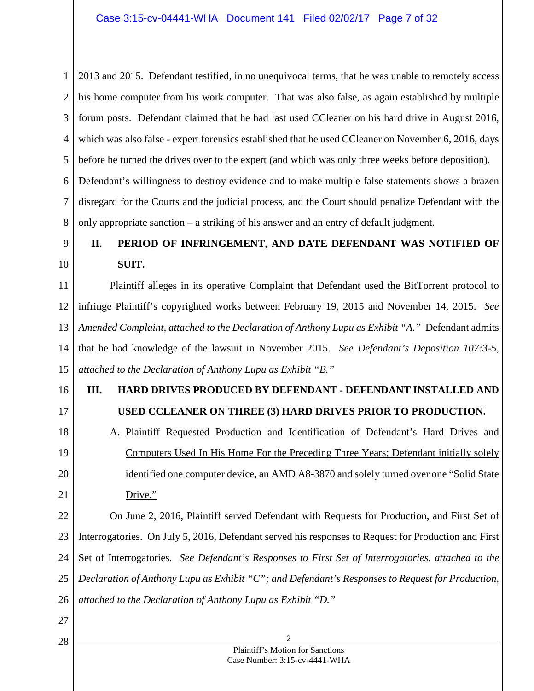1 2 3 4 5 6 7 8 2013 and 2015. Defendant testified, in no unequivocal terms, that he was unable to remotely access his home computer from his work computer. That was also false, as again established by multiple forum posts. Defendant claimed that he had last used CCleaner on his hard drive in August 2016, which was also false - expert forensics established that he used CCleaner on November 6, 2016, days before he turned the drives over to the expert (and which was only three weeks before deposition). Defendant's willingness to destroy evidence and to make multiple false statements shows a brazen disregard for the Courts and the judicial process, and the Court should penalize Defendant with the only appropriate sanction – a striking of his answer and an entry of default judgment.

#### <span id="page-6-0"></span>9 10 **II. PERIOD OF INFRINGEMENT, AND DATE DEFENDANT WAS NOTIFIED OF SUIT.**

11 12 13 14 15 Plaintiff alleges in its operative Complaint that Defendant used the BitTorrent protocol to infringe Plaintiff's copyrighted works between February 19, 2015 and November 14, 2015. *See Amended Complaint, attached to the Declaration of Anthony Lupu as Exhibit "A."* Defendant admits that he had knowledge of the lawsuit in November 2015. *See Defendant's Deposition 107:3-5, attached to the Declaration of Anthony Lupu as Exhibit "B."*

#### <span id="page-6-1"></span>16 17 **III. HARD DRIVES PRODUCED BY DEFENDANT - DEFENDANT INSTALLED AND USED CCLEANER ON THREE (3) HARD DRIVES PRIOR TO PRODUCTION.**

<span id="page-6-2"></span>18 19 20 21 A. Plaintiff Requested Production and Identification of Defendant's Hard Drives and Computers Used In His Home For the Preceding Three Years; Defendant initially solely identified one computer device, an AMD A8-3870 and solely turned over one "Solid State Drive."

22 23 24 25 26 On June 2, 2016, Plaintiff served Defendant with Requests for Production, and First Set of Interrogatories. On July 5, 2016, Defendant served his responses to Request for Production and First Set of Interrogatories. *See Defendant's Responses to First Set of Interrogatories, attached to the Declaration of Anthony Lupu as Exhibit "C"; and Defendant's Responses to Request for Production, attached to the Declaration of Anthony Lupu as Exhibit "D."*

27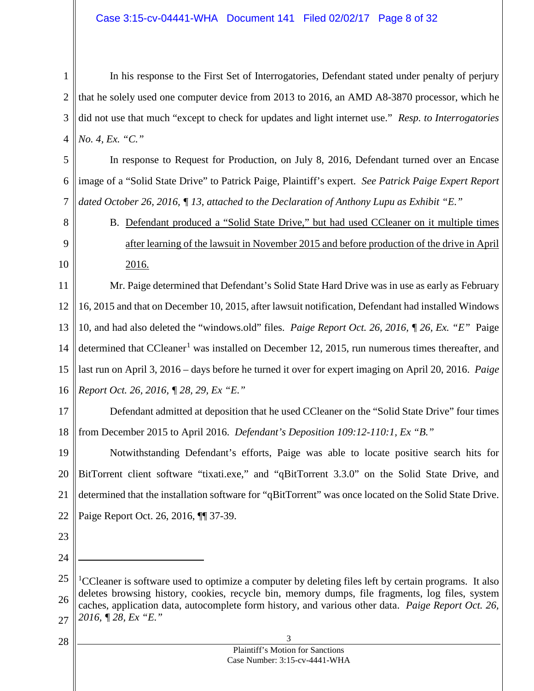1 2 3 4 In his response to the First Set of Interrogatories, Defendant stated under penalty of perjury that he solely used one computer device from 2013 to 2016, an AMD A8-3870 processor, which he did not use that much "except to check for updates and light internet use." *Resp. to Interrogatories No. 4, Ex. "C."* 

5 6 7 In response to Request for Production, on July 8, 2016, Defendant turned over an Encase image of a "Solid State Drive" to Patrick Paige, Plaintiff's expert. *See Patrick Paige Expert Report dated October 26, 2016, ¶ 13, attached to the Declaration of Anthony Lupu as Exhibit "E."*

<span id="page-7-0"></span>8 9

10

B. Defendant produced a "Solid State Drive," but had used CCleaner on it multiple times after learning of the lawsuit in November 2015 and before production of the drive in April 2016.

11 12 13 14 15 16 Mr. Paige determined that Defendant's Solid State Hard Drive was in use as early as February 16, 2015 and that on December 10, 2015, after lawsuit notification, Defendant had installed Windows 10, and had also deleted the "windows.old" files. *Paige Report Oct. 26, 2016, ¶ 26, Ex. "E"* Paige determined that CCleaner<sup>[1](#page-7-1)</sup> was installed on December 12, 2015, run numerous times thereafter, and last run on April 3, 2016 – days before he turned it over for expert imaging on April 20, 2016. *Paige Report Oct. 26, 2016, ¶ 28, 29, Ex "E."* 

17 18 Defendant admitted at deposition that he used CCleaner on the "Solid State Drive" four times from December 2015 to April 2016. *Defendant's Deposition 109:12-110:1, Ex "B."*

19 20 21 22 Notwithstanding Defendant's efforts, Paige was able to locate positive search hits for BitTorrent client software "tixati.exe," and "qBitTorrent 3.3.0" on the Solid State Drive, and determined that the installation software for "qBitTorrent" was once located on the Solid State Drive. Paige Report Oct. 26, 2016, ¶¶ 37-39.

- 23
- 24

 $\overline{a}$ 

<span id="page-7-1"></span><sup>25</sup> 26 27 <sup>1</sup>CCleaner is software used to optimize a computer by deleting files left by certain programs. It also deletes browsing history, cookies, recycle bin, memory dumps, file fragments, log files, system caches, application data, autocomplete form history, and various other data. *Paige Report Oct. 26, 2016, ¶ 28, Ex "E."*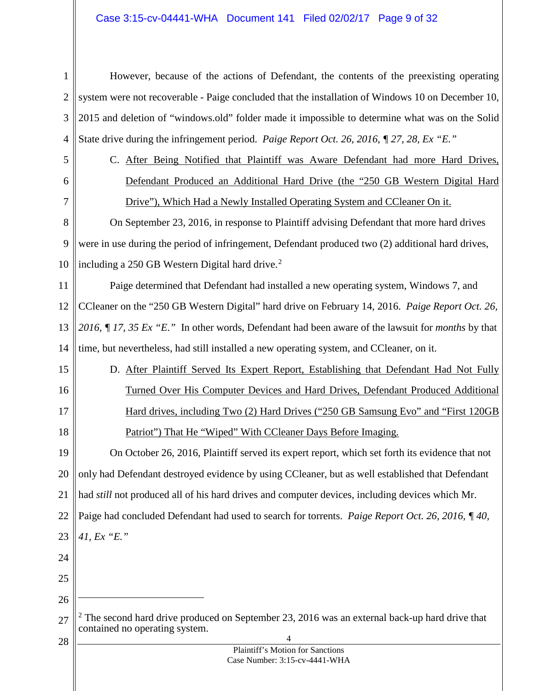# Case 3:15-cv-04441-WHA Document 141 Filed 02/02/17 Page 9 of 32

<span id="page-8-2"></span><span id="page-8-1"></span><span id="page-8-0"></span>

| 1              | However, because of the actions of Defendant, the contents of the preexisting operating                                        |
|----------------|--------------------------------------------------------------------------------------------------------------------------------|
| $\overline{2}$ | system were not recoverable - Paige concluded that the installation of Windows 10 on December 10,                              |
| 3              | 2015 and deletion of "windows.old" folder made it impossible to determine what was on the Solid                                |
| 4              | State drive during the infringement period. Paige Report Oct. 26, 2016, ¶ 27, 28, Ex "E."                                      |
| 5              | C. After Being Notified that Plaintiff was Aware Defendant had more Hard Drives,                                               |
| 6              | Defendant Produced an Additional Hard Drive (the "250 GB Western Digital Hard                                                  |
| 7              | Drive"), Which Had a Newly Installed Operating System and CCleaner On it.                                                      |
| 8              | On September 23, 2016, in response to Plaintiff advising Defendant that more hard drives                                       |
| 9              | were in use during the period of infringement, Defendant produced two (2) additional hard drives,                              |
| 10             | including a 250 GB Western Digital hard drive. <sup>2</sup>                                                                    |
| 11             | Paige determined that Defendant had installed a new operating system, Windows 7, and                                           |
| 12             | CCleaner on the "250 GB Western Digital" hard drive on February 14, 2016. Paige Report Oct. 26,                                |
| 13             | 2016, $\int$ 17, 35 Ex "E." In other words, Defendant had been aware of the lawsuit for <i>months</i> by that                  |
| 14             | time, but nevertheless, had still installed a new operating system, and CCleaner, on it.                                       |
| 15             | D. After Plaintiff Served Its Expert Report, Establishing that Defendant Had Not Fully                                         |
| 16             | Turned Over His Computer Devices and Hard Drives, Defendant Produced Additional                                                |
| 17             | Hard drives, including Two (2) Hard Drives ("250 GB Samsung Evo" and "First 120GB                                              |
| 18             | Patriot") That He "Wiped" With CCleaner Days Before Imaging.                                                                   |
| 19             | On October 26, 2016, Plaintiff served its expert report, which set forth its evidence that not                                 |
| 20             | only had Defendant destroyed evidence by using CCleaner, but as well established that Defendant                                |
| 21             | had <i>still</i> not produced all of his hard drives and computer devices, including devices which Mr.                         |
| 22             | Paige had concluded Defendant had used to search for torrents. Paige Report Oct. 26, 2016, ¶40,                                |
| 23             | 41, Ex "E."                                                                                                                    |
| 24             |                                                                                                                                |
| 25             |                                                                                                                                |
| 26             |                                                                                                                                |
| 27             | The second hard drive produced on September 23, 2016 was an external back-up hard drive that<br>contained no operating system. |
| 28             | 4                                                                                                                              |
|                | Plaintiff's Motion for Sanctions<br>Case Number: 3:15-cv-4441-WHA                                                              |
|                |                                                                                                                                |
|                |                                                                                                                                |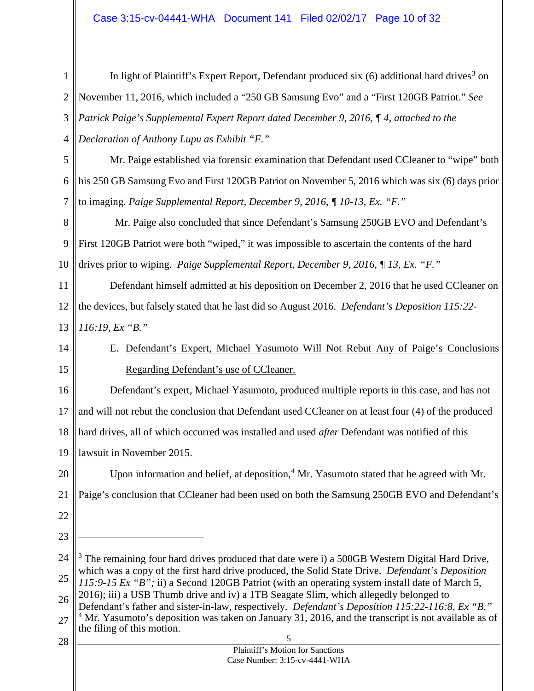<span id="page-9-2"></span><span id="page-9-1"></span><span id="page-9-0"></span>

| $\mathbf{1}$   | In light of Plaintiff's Expert Report, Defendant produced six (6) additional hard drives <sup>3</sup> on                                                                                           |  |
|----------------|----------------------------------------------------------------------------------------------------------------------------------------------------------------------------------------------------|--|
| $\mathbf{2}$   | November 11, 2016, which included a "250 GB Samsung Evo" and a "First 120GB Patriot." See                                                                                                          |  |
| 3              | Patrick Paige's Supplemental Expert Report dated December 9, 2016, ¶4, attached to the                                                                                                             |  |
| $\overline{4}$ | Declaration of Anthony Lupu as Exhibit "F."                                                                                                                                                        |  |
| 5              | Mr. Paige established via forensic examination that Defendant used CCleaner to "wipe" both                                                                                                         |  |
| 6              | his 250 GB Samsung Evo and First 120GB Patriot on November 5, 2016 which was six (6) days prior                                                                                                    |  |
| 7              | to imaging. Paige Supplemental Report, December 9, 2016, ¶ 10-13, Ex. "F."                                                                                                                         |  |
| 8              | Mr. Paige also concluded that since Defendant's Samsung 250GB EVO and Defendant's                                                                                                                  |  |
| 9              | First 120GB Patriot were both "wiped," it was impossible to ascertain the contents of the hard                                                                                                     |  |
| 10             | drives prior to wiping. Paige Supplemental Report, December 9, 2016, ¶ 13, Ex. "F."                                                                                                                |  |
| 11             | Defendant himself admitted at his deposition on December 2, 2016 that he used CCleaner on                                                                                                          |  |
| 12             | the devices, but falsely stated that he last did so August 2016. Defendant's Deposition 115:22-                                                                                                    |  |
| 13             | $116:19$ , Ex "B."                                                                                                                                                                                 |  |
| 14             | Defendant's Expert, Michael Yasumoto Will Not Rebut Any of Paige's Conclusions<br>Ε.                                                                                                               |  |
| 15             | Regarding Defendant's use of CCleaner.                                                                                                                                                             |  |
| 16             | Defendant's expert, Michael Yasumoto, produced multiple reports in this case, and has not                                                                                                          |  |
| 17             | and will not rebut the conclusion that Defendant used CCleaner on at least four (4) of the produced                                                                                                |  |
| 18             | hard drives, all of which occurred was installed and used after Defendant was notified of this                                                                                                     |  |
|                | 19    lawsuit in November 2015.                                                                                                                                                                    |  |
| 20             | Upon information and belief, at deposition, <sup>4</sup> Mr. Yasumoto stated that he agreed with Mr.                                                                                               |  |
| 21             | Paige's conclusion that CCleaner had been used on both the Samsung 250GB EVO and Defendant's                                                                                                       |  |
| 22             |                                                                                                                                                                                                    |  |
| 23             |                                                                                                                                                                                                    |  |
| 24             | The remaining four hard drives produced that date were i) a 500GB Western Digital Hard Drive,                                                                                                      |  |
| 25             | which was a copy of the first hard drive produced, the Solid State Drive. Defendant's Deposition<br>115:9-15 Ex "B"; ii) a Second 120GB Patriot (with an operating system install date of March 5, |  |
| 26             | 2016); iii) a USB Thumb drive and iv) a 1TB Seagate Slim, which allegedly belonged to<br>Defendant's father and sister-in-law, respectively. Defendant's Deposition 115:22-116:8, Ex "B."          |  |
| 27             | $4$ Mr. Yasumoto's deposition was taken on January 31, 2016, and the transcript is not available as of<br>the filing of this motion.                                                               |  |
| 28             | 5                                                                                                                                                                                                  |  |
|                | Plaintiff's Motion for Sanctions<br>Case Number: 3:15-cv-4441-WHA                                                                                                                                  |  |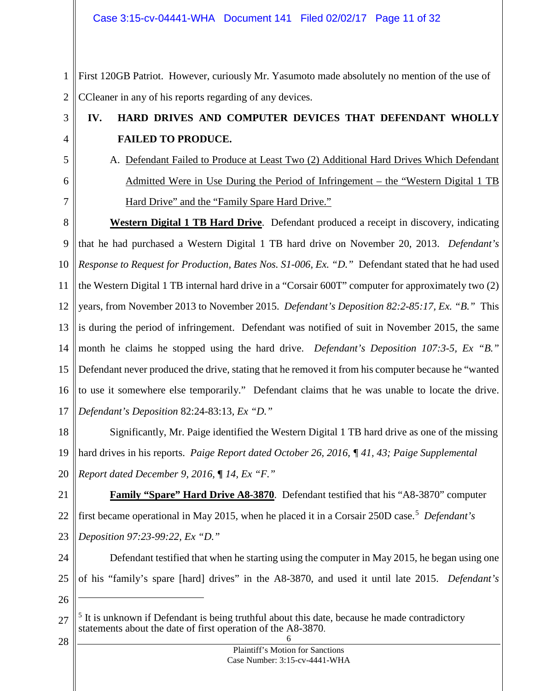Case 3:15-cv-04441-WHA Document 141 Filed 02/02/17 Page 11 of 32

1 2 First 120GB Patriot. However, curiously Mr. Yasumoto made absolutely no mention of the use of CCleaner in any of his reports regarding of any devices.

- <span id="page-10-0"></span>**IV. HARD DRIVES AND COMPUTER DEVICES THAT DEFENDANT WHOLLY FAILED TO PRODUCE.**
	- A. Defendant Failed to Produce at Least Two (2) Additional Hard Drives Which Defendant Admitted Were in Use During the Period of Infringement – the "Western Digital 1 TB Hard Drive" and the "Family Spare Hard Drive."

8 9 10 11 12 13 14 15 16 17 **Western Digital 1 TB Hard Drive**. Defendant produced a receipt in discovery, indicating that he had purchased a Western Digital 1 TB hard drive on November 20, 2013. *Defendant's Response to Request for Production, Bates Nos. S1-006, Ex. "D."* Defendant stated that he had used the Western Digital 1 TB internal hard drive in a "Corsair 600T" computer for approximately two (2) years, from November 2013 to November 2015. *Defendant's Deposition 82:2-85:17, Ex. "B."* This is during the period of infringement. Defendant was notified of suit in November 2015, the same month he claims he stopped using the hard drive. *Defendant's Deposition 107:3-5, Ex "B."* Defendant never produced the drive, stating that he removed it from his computer because he "wanted to use it somewhere else temporarily." Defendant claims that he was unable to locate the drive. *Defendant's Deposition* 82:24-83:13*, Ex "D."*

18 19 20 Significantly, Mr. Paige identified the Western Digital 1 TB hard drive as one of the missing hard drives in his reports. *Paige Report dated October 26, 2016, ¶ 41, 43; Paige Supplemental Report dated December 9, 2016, ¶ 14, Ex "F."*

21 22 23 **Family "Spare" Hard Drive A8-3870**. Defendant testified that his "A8-3870" computer first became operational in May 201[5](#page-10-2), when he placed it in a Corsair 250D case.<sup>5</sup> Defendant's *Deposition 97:23-99:22, Ex "D."* 

24 25 Defendant testified that when he starting using the computer in May 2015, he began using one of his "family's spare [hard] drives" in the A8-3870, and used it until late 2015. *Defendant's* 

26

 $\overline{a}$ 

28

3

4

<span id="page-10-1"></span>5

6

7

Plaintiff's Motion for Sanctions Case Number: 3:15-cv-4441-WHA

<span id="page-10-2"></span><sup>6</sup> 27  $<sup>5</sup>$  It is unknown if Defendant is being truthful about this date, because he made contradictory</sup> statements about the date of first operation of the A8-3870.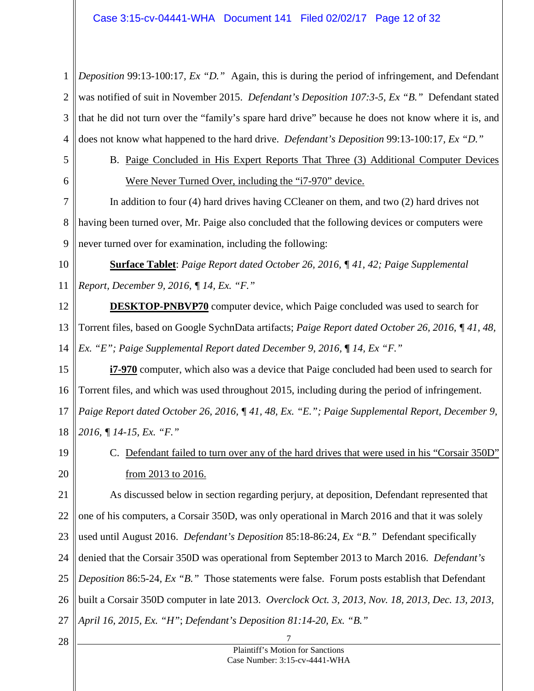#### Case 3:15-cv-04441-WHA Document 141 Filed 02/02/17 Page 12 of 32

1 2 3 4 *Deposition* 99:13-100:17*, Ex "D."* Again, this is during the period of infringement, and Defendant was notified of suit in November 2015. *Defendant's Deposition 107:3-5, Ex "B."* Defendant stated that he did not turn over the "family's spare hard drive" because he does not know where it is, and does not know what happened to the hard drive. *Defendant's Deposition* 99:13-100:17*, Ex "D."*

<span id="page-11-0"></span>5 6 B. Paige Concluded in His Expert Reports That Three (3) Additional Computer Devices Were Never Turned Over, including the "i7-970" device.

7 8 9 In addition to four (4) hard drives having CCleaner on them, and two (2) hard drives not having been turned over, Mr. Paige also concluded that the following devices or computers were never turned over for examination, including the following:

10 11 **Surface Tablet**: *Paige Report dated October 26, 2016, ¶ 41, 42; Paige Supplemental Report, December 9, 2016, ¶ 14, Ex. "F."*

12 13 14 **DESKTOP-PNBVP70** computer device, which Paige concluded was used to search for Torrent files, based on Google SychnData artifacts; *Paige Report dated October 26, 2016, ¶ 41, 48, Ex. "E"; Paige Supplemental Report dated December 9, 2016,*  $\P$  *14, Ex "F."* 

15 16 17 18 **i7-970** computer, which also was a device that Paige concluded had been used to search for Torrent files, and which was used throughout 2015, including during the period of infringement. *Paige Report dated October 26, 2016, ¶ 41, 48, Ex. "E."; Paige Supplemental Report, December 9, 2016, ¶ 14-15, Ex. "F."*

<span id="page-11-1"></span>19 20 C. Defendant failed to turn over any of the hard drives that were used in his "Corsair 350D" from 2013 to 2016.

21 22 23 24 25 26 27 As discussed below in section regarding perjury, at deposition, Defendant represented that one of his computers, a Corsair 350D, was only operational in March 2016 and that it was solely used until August 2016. *Defendant's Deposition* 85:18-86:24*, Ex "B."* Defendant specifically denied that the Corsair 350D was operational from September 2013 to March 2016. *Defendant's Deposition* 86:5-24*, Ex "B."* Those statements were false. Forum posts establish that Defendant built a Corsair 350D computer in late 2013. *Overclock Oct. 3, 2013, Nov. 18, 2013, Dec. 13, 2013, April 16, 2015, Ex. "H"*; *Defendant's Deposition 81:14-20, Ex. "B."*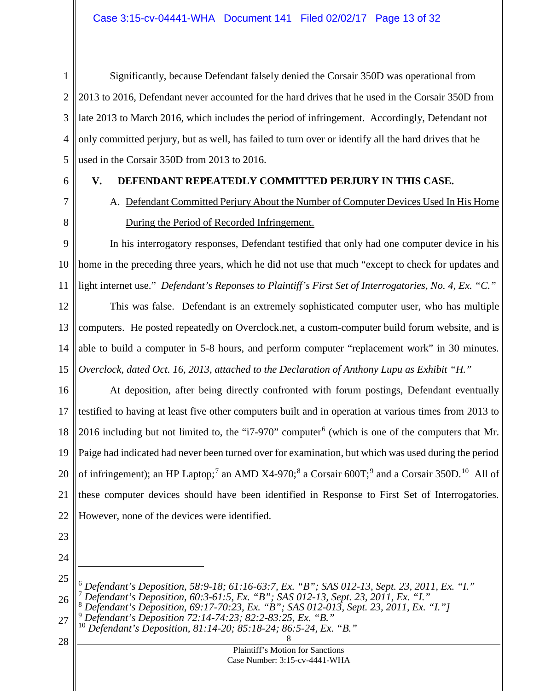1 2 3 4 5 Significantly, because Defendant falsely denied the Corsair 350D was operational from 2013 to 2016, Defendant never accounted for the hard drives that he used in the Corsair 350D from late 2013 to March 2016, which includes the period of infringement. Accordingly, Defendant not only committed perjury, but as well, has failed to turn over or identify all the hard drives that he used in the Corsair 350D from 2013 to 2016.

<span id="page-12-0"></span>6

### **V. DEFENDANT REPEATEDLY COMMITTED PERJURY IN THIS CASE.**

<span id="page-12-1"></span>7 8

A. Defendant Committed Perjury About the Number of Computer Devices Used In His Home During the Period of Recorded Infringement.

9 10 11 In his interrogatory responses, Defendant testified that only had one computer device in his home in the preceding three years, which he did not use that much "except to check for updates and light internet use." *Defendant's Reponses to Plaintiff's First Set of Interrogatories, No. 4, Ex. "C."*

12 13 14 15 This was false. Defendant is an extremely sophisticated computer user, who has multiple computers. He posted repeatedly on Overclock.net, a custom-computer build forum website, and is able to build a computer in 5-8 hours, and perform computer "replacement work" in 30 minutes. *Overclock, dated Oct. 16, 2013, attached to the Declaration of Anthony Lupu as Exhibit "H."*

16 17 18 19 20 21 22 At deposition, after being directly confronted with forum postings, Defendant eventually testified to having at least five other computers built and in operation at various times from 2013 to 201[6](#page-12-2) including but not limited to, the "i7-970" computer<sup>6</sup> (which is one of the computers that Mr. Paige had indicated had never been turned over for examination, but which was used during the period of infringement); an HP Laptop;<sup>[7](#page-12-3)</sup> an AMD X4-970;<sup>[8](#page-12-4)</sup> a Corsair 600T;<sup>[9](#page-12-5)</sup> and a Corsair 350D.<sup>[10](#page-12-6)</sup> All of these computer devices should have been identified in Response to First Set of Interrogatories. However, none of the devices were identified.

- 23
- 24

 $\overline{a}$ 

<span id="page-12-3"></span><span id="page-12-2"></span><sup>25</sup> 26 <sup>6</sup> Defendant's Deposition, 58:9-18; 61:16-63:7, Ex. "B"; SAS 012-13, Sept. 23, 2011, Ex. "I."<br>
<sup>7</sup> Defendant's Deposition, 60:3-61:5, Ex. "B"; SAS 012-13, Sept. 23, 2011, Ex. "I."<br>
<sup>8</sup> Defendant's Deposition, 69:17-70:23

<span id="page-12-6"></span><span id="page-12-5"></span><span id="page-12-4"></span><sup>27</sup>

<sup>8</sup> <sup>10</sup> *Defendant's Deposition, 81:14-20; 85:18-24; 86:5-24, Ex. "B."*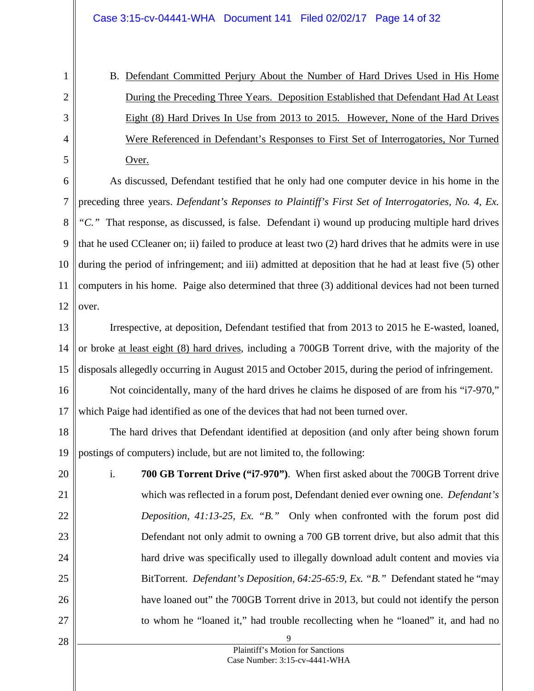B. Defendant Committed Perjury About the Number of Hard Drives Used in His Home During the Preceding Three Years. Deposition Established that Defendant Had At Least Eight (8) Hard Drives In Use from 2013 to 2015. However, None of the Hard Drives Were Referenced in Defendant's Responses to First Set of Interrogatories, Nor Turned Over.

6 7 8 9 10 11 12 As discussed, Defendant testified that he only had one computer device in his home in the preceding three years. *Defendant's Reponses to Plaintiff's First Set of Interrogatories, No. 4, Ex. "C."* That response, as discussed, is false. Defendant i) wound up producing multiple hard drives that he used CCleaner on; ii) failed to produce at least two (2) hard drives that he admits were in use during the period of infringement; and iii) admitted at deposition that he had at least five (5) other computers in his home. Paige also determined that three (3) additional devices had not been turned over.

13 14 15 Irrespective, at deposition, Defendant testified that from 2013 to 2015 he E-wasted, loaned, or broke at least eight (8) hard drives, including a 700GB Torrent drive, with the majority of the disposals allegedly occurring in August 2015 and October 2015, during the period of infringement.

16 17 Not coincidentally, many of the hard drives he claims he disposed of are from his "i7-970," which Paige had identified as one of the devices that had not been turned over.

18 19 The hard drives that Defendant identified at deposition (and only after being shown forum postings of computers) include, but are not limited to, the following:

20 21 22 23 24 25 26 27 i. **700 GB Torrent Drive ("i7-970")**. When first asked about the 700GB Torrent drive which was reflected in a forum post, Defendant denied ever owning one. *Defendant's Deposition, 41:13-25, Ex. "B."* Only when confronted with the forum post did Defendant not only admit to owning a 700 GB torrent drive, but also admit that this hard drive was specifically used to illegally download adult content and movies via BitTorrent. *Defendant's Deposition, 64:25-65:9, Ex. "B."* Defendant stated he "may have loaned out" the 700GB Torrent drive in 2013, but could not identify the person to whom he "loaned it," had trouble recollecting when he "loaned" it, and had no

28

<span id="page-13-0"></span>1

2

3

4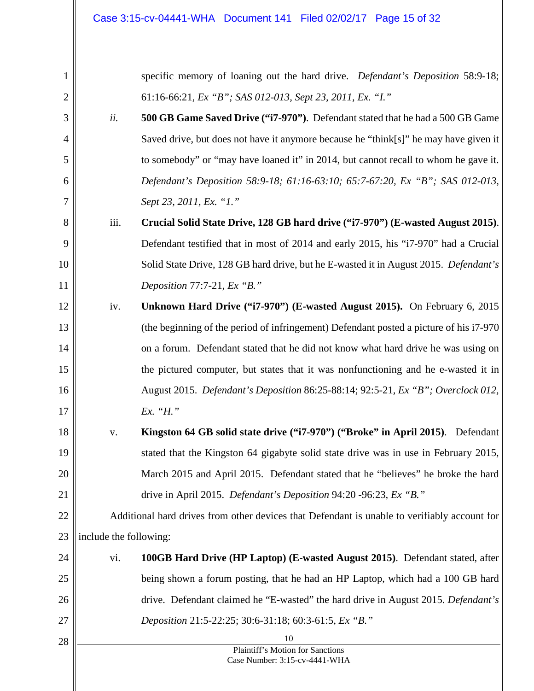| 1              |                        | specific memory of loaning out the hard drive. Defendant's Deposition 58:9-18;               |
|----------------|------------------------|----------------------------------------------------------------------------------------------|
| $\overline{2}$ |                        | 61:16-66:21, Ex "B"; SAS 012-013, Sept 23, 2011, Ex. "I."                                    |
| 3              | ii.                    | 500 GB Game Saved Drive ("i7-970"). Defendant stated that he had a 500 GB Game               |
| $\overline{4}$ |                        | Saved drive, but does not have it anymore because he "think[s]" he may have given it         |
| 5              |                        | to somebody" or "may have loaned it" in 2014, but cannot recall to whom he gave it.          |
| 6              |                        | Defendant's Deposition 58:9-18; 61:16-63:10; 65:7-67:20, Ex "B"; SAS 012-013,                |
| 7              |                        | Sept 23, 2011, Ex. "1."                                                                      |
| 8              | iii.                   | Crucial Solid State Drive, 128 GB hard drive ("i7-970") (E-wasted August 2015).              |
| 9              |                        | Defendant testified that in most of 2014 and early 2015, his "i7-970" had a Crucial          |
| 10             |                        | Solid State Drive, 128 GB hard drive, but he E-wasted it in August 2015. Defendant's         |
| 11             |                        | Deposition 77:7-21, Ex "B."                                                                  |
| 12             | iv.                    | Unknown Hard Drive ("i7-970") (E-wasted August 2015). On February 6, 2015                    |
| 13             |                        | (the beginning of the period of infringement) Defendant posted a picture of his i7-970       |
| 14             |                        | on a forum. Defendant stated that he did not know what hard drive he was using on            |
| 15             |                        | the pictured computer, but states that it was nonfunctioning and he e-wasted it in           |
| 16             |                        | August 2015. Defendant's Deposition 86:25-88:14; 92:5-21, Ex "B"; Overclock 012,             |
| 17             |                        | Ex. "H."                                                                                     |
| 18             | V.                     | Kingston 64 GB solid state drive ("i7-970") ("Broke" in April 2015). Defendant               |
| 19             |                        | stated that the Kingston 64 gigabyte solid state drive was in use in February 2015,          |
| 20             |                        | March 2015 and April 2015. Defendant stated that he "believes" he broke the hard             |
| 21             |                        | drive in April 2015. Defendant's Deposition 94:20 -96:23, Ex "B."                            |
| 22             |                        | Additional hard drives from other devices that Defendant is unable to verifiably account for |
| 23             | include the following: |                                                                                              |
| 24             | vi.                    | 100GB Hard Drive (HP Laptop) (E-wasted August 2015). Defendant stated, after                 |
| 25             |                        | being shown a forum posting, that he had an HP Laptop, which had a 100 GB hard               |
| 26             |                        | drive. Defendant claimed he "E-wasted" the hard drive in August 2015. Defendant's            |
| 27             |                        | Deposition 21:5-22:25; 30:6-31:18; 60:3-61:5, Ex "B."                                        |
| 28             |                        | 10                                                                                           |
|                |                        | Plaintiff's Motion for Sanctions<br>Case Number: 3:15-cv-4441-WHA                            |
|                |                        |                                                                                              |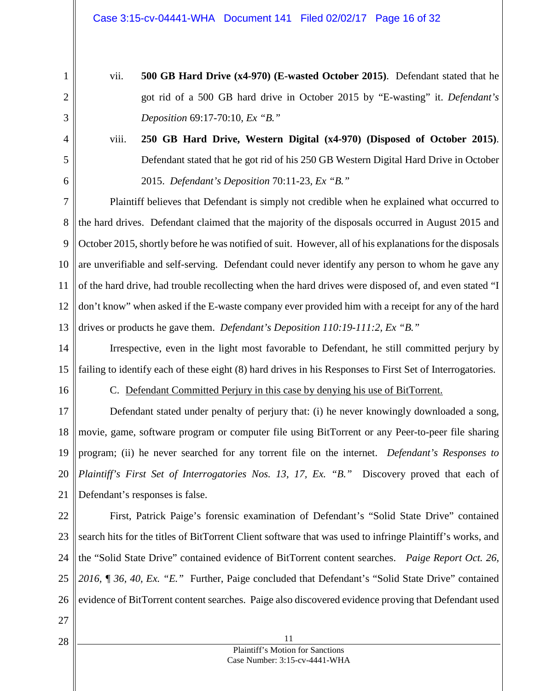- 1 2
- vii. **500 GB Hard Drive (x4-970) (E-wasted October 2015)**. Defendant stated that he got rid of a 500 GB hard drive in October 2015 by "E-wasting" it. *Defendant's Deposition* 69:17-70:10*, Ex "B."*
- 4 5

6

3

viii. **250 GB Hard Drive, Western Digital (x4-970) (Disposed of October 2015)**. Defendant stated that he got rid of his 250 GB Western Digital Hard Drive in October 2015. *Defendant's Deposition* 70:11-23*, Ex "B."*

7 8 9 10 11 12 13 Plaintiff believes that Defendant is simply not credible when he explained what occurred to the hard drives. Defendant claimed that the majority of the disposals occurred in August 2015 and October 2015, shortly before he was notified of suit. However, all of his explanations for the disposals are unverifiable and self-serving. Defendant could never identify any person to whom he gave any of the hard drive, had trouble recollecting when the hard drives were disposed of, and even stated "I don't know" when asked if the E-waste company ever provided him with a receipt for any of the hard drives or products he gave them. *Defendant's Deposition 110:19-111:2, Ex "B."*

14 15 Irrespective, even in the light most favorable to Defendant, he still committed perjury by failing to identify each of these eight (8) hard drives in his Responses to First Set of Interrogatories.

<span id="page-15-0"></span>16

C. Defendant Committed Perjury in this case by denying his use of BitTorrent.

17 18 19 20 21 Defendant stated under penalty of perjury that: (i) he never knowingly downloaded a song, movie, game, software program or computer file using BitTorrent or any Peer-to-peer file sharing program; (ii) he never searched for any torrent file on the internet. *Defendant's Responses to Plaintiff's First Set of Interrogatories Nos. 13, 17, Ex. "B."* Discovery proved that each of Defendant's responses is false.

22 23 24 25 26 First, Patrick Paige's forensic examination of Defendant's "Solid State Drive" contained search hits for the titles of BitTorrent Client software that was used to infringe Plaintiff's works, and the "Solid State Drive" contained evidence of BitTorrent content searches. *Paige Report Oct. 26, 2016, ¶ 36, 40, Ex. "E."* Further, Paige concluded that Defendant's "Solid State Drive" contained evidence of BitTorrent content searches. Paige also discovered evidence proving that Defendant used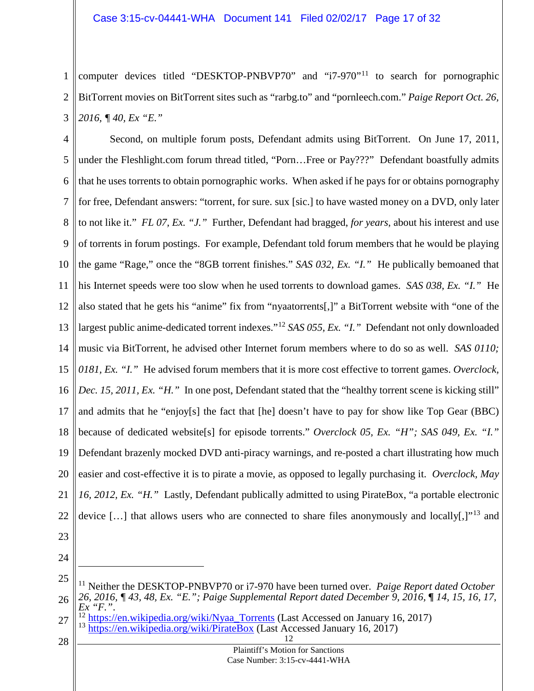1 2 3 computer devices titled "DESKTOP-PNBVP70" and "i7-970"[11](#page-16-0) to search for pornographic BitTorrent movies on BitTorrent sites such as "rarbg.to" and "pornleech.com." *Paige Report Oct. 26, 2016, ¶ 40, Ex "E."*

4 5 6 7 8 9 10 11 12 13 14 15 16 17 18 19 20 21 22 Second, on multiple forum posts, Defendant admits using BitTorrent. On June 17, 2011, under the Fleshlight.com forum thread titled, "Porn…Free or Pay???" Defendant boastfully admits that he uses torrents to obtain pornographic works. When asked if he pays for or obtains pornography for free, Defendant answers: "torrent, for sure. sux [sic.] to have wasted money on a DVD, only later to not like it." *FL 07, Ex. "J."* Further, Defendant had bragged, *for years*, about his interest and use of torrents in forum postings. For example, Defendant told forum members that he would be playing the game "Rage," once the "8GB torrent finishes." *SAS 032, Ex. "I."* He publically bemoaned that his Internet speeds were too slow when he used torrents to download games. *SAS 038, Ex. "I."* He also stated that he gets his "anime" fix from "nyaatorrents[,]" a BitTorrent website with "one of the largest public anime-dedicated torrent indexes."[12](#page-16-1) *SAS 055, Ex. "I."* Defendant not only downloaded music via BitTorrent, he advised other Internet forum members where to do so as well. *SAS 0110; 0181, Ex. "I."* He advised forum members that it is more cost effective to torrent games. *Overclock, Dec. 15, 2011, Ex. "H."* In one post, Defendant stated that the "healthy torrent scene is kicking still" and admits that he "enjoy[s] the fact that [he] doesn't have to pay for show like Top Gear (BBC) because of dedicated website[s] for episode torrents." *Overclock 05, Ex. "H"; SAS 049, Ex. "I."* Defendant brazenly mocked DVD anti-piracy warnings, and re-posted a chart illustrating how much easier and cost-effective it is to pirate a movie, as opposed to legally purchasing it. *Overclock, May 16, 2012, Ex. "H."* Lastly, Defendant publically admitted to using PirateBox, "a portable electronic device [...] that allows users who are connected to share files anonymously and locally[,]"<sup>[13](#page-16-2)</sup> and

- 23
- 24

 $\overline{a}$ 

<span id="page-16-0"></span><sup>25</sup> 26 <sup>11</sup> Neither the DESKTOP-PNBVP70 or i7-970 have been turned over. *Paige Report dated October 26, 2016, ¶ 43, 48, Ex. "E."; Paige Supplemental Report dated December 9, 2016, ¶ 14, 15, 16, 17, Ex "F.".* 

<span id="page-16-1"></span><sup>27</sup> <sup>12</sup> [https://en.wikipedia.org/wiki/Nyaa\\_Torrents](https://en.wikipedia.org/wiki/Nyaa_Torrents) (Last Accessed on January 16, 2017)<br><sup>13</sup> <https://en.wikipedia.org/wiki/PirateBox> (Last Accessed January 16, 2017)

<span id="page-16-2"></span><sup>12</sup>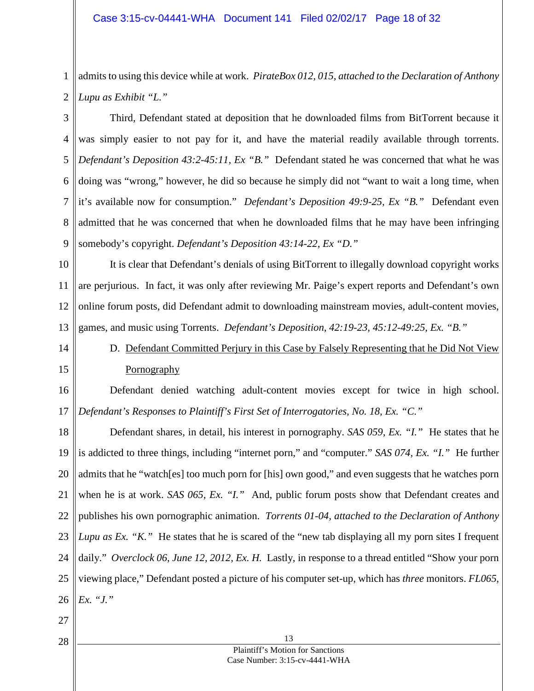1 2 admits to using this device while at work. *PirateBox 012, 015, attached to the Declaration of Anthony Lupu as Exhibit "L."*

3 4 5 6 7 8 9 Third, Defendant stated at deposition that he downloaded films from BitTorrent because it was simply easier to not pay for it, and have the material readily available through torrents. *Defendant's Deposition 43:2-45:11, Ex "B."* Defendant stated he was concerned that what he was doing was "wrong," however, he did so because he simply did not "want to wait a long time, when it's available now for consumption." *Defendant's Deposition 49:9-25, Ex "B."* Defendant even admitted that he was concerned that when he downloaded films that he may have been infringing somebody's copyright. *Defendant's Deposition 43:14-22, Ex "D."*

10 11 12 13 It is clear that Defendant's denials of using BitTorrent to illegally download copyright works are perjurious. In fact, it was only after reviewing Mr. Paige's expert reports and Defendant's own online forum posts, did Defendant admit to downloading mainstream movies, adult-content movies, games, and music using Torrents. *Defendant's Deposition, 42:19-23, 45:12-49:25, Ex. "B."*

<span id="page-17-0"></span>14

15

D. Defendant Committed Perjury in this Case by Falsely Representing that he Did Not View **Pornography** 

16 17 Defendant denied watching adult-content movies except for twice in high school. *Defendant's Responses to Plaintiff's First Set of Interrogatories, No. 18, Ex. "C."*

18 19 20 21 22 23 24 25 26 Defendant shares, in detail, his interest in pornography. *SAS 059, Ex. "I."* He states that he is addicted to three things, including "internet porn," and "computer." *SAS 074, Ex. "I."* He further admits that he "watch[es] too much porn for [his] own good," and even suggests that he watches porn when he is at work. *SAS 065, Ex. "I."* And, public forum posts show that Defendant creates and publishes his own pornographic animation. *Torrents 01-04, attached to the Declaration of Anthony Lupu as Ex.* "*K.*" He states that he is scared of the "new tab displaying all my porn sites I frequent daily." *Overclock 06, June 12, 2012, Ex. H.* Lastly, in response to a thread entitled "Show your porn viewing place," Defendant posted a picture of his computer set-up, which has *three* monitors. *FL065, Ex. "J."*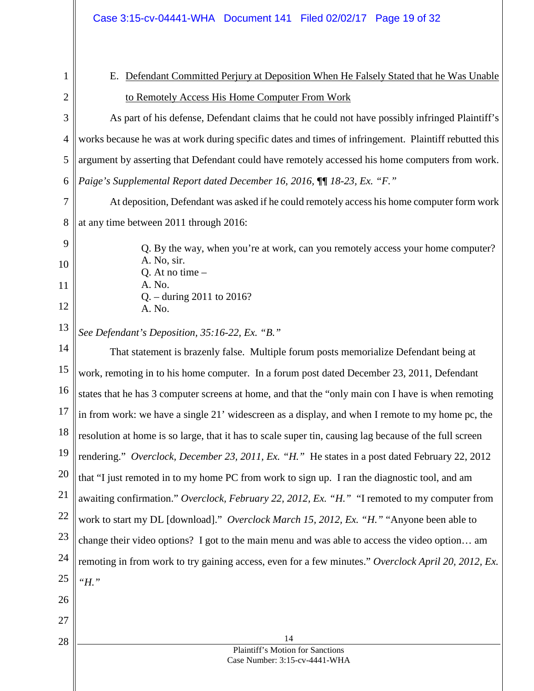|  | Case 3:15-cv-04441-WHA Document 141 Filed 02/02/17 Page 19 of 32 |  |  |  |
|--|------------------------------------------------------------------|--|--|--|
|--|------------------------------------------------------------------|--|--|--|

- <span id="page-18-0"></span>1 2
- E. Defendant Committed Perjury at Deposition When He Falsely Stated that he Was Unable to Remotely Access His Home Computer From Work

3 4 5 6 As part of his defense, Defendant claims that he could not have possibly infringed Plaintiff's works because he was at work during specific dates and times of infringement. Plaintiff rebutted this argument by asserting that Defendant could have remotely accessed his home computers from work. *Paige's Supplemental Report dated December 16, 2016,*  $\P$ *[18-23, Ex. "F."* 

7 8 At deposition, Defendant was asked if he could remotely access his home computer form work at any time between 2011 through 2016:

Q. By the way, when you're at work, can you remotely access your home computer?

9

10

11 12

28

A. No.

Q. – during 2011 to 2016?

13 *See Defendant's Deposition, 35:16-22, Ex. "B."*

A. No, sir. Q. At no time –

A. No.

14 15 16 17 18 19 20 21 22 23 24 25 26 27 That statement is brazenly false. Multiple forum posts memorialize Defendant being at work, remoting in to his home computer. In a forum post dated December 23, 2011, Defendant states that he has 3 computer screens at home, and that the "only main con I have is when remoting in from work: we have a single 21' widescreen as a display, and when I remote to my home pc, the resolution at home is so large, that it has to scale super tin, causing lag because of the full screen rendering." *Overclock, December 23, 2011, Ex. "H."* He states in a post dated February 22, 2012 that "I just remoted in to my home PC from work to sign up. I ran the diagnostic tool, and am awaiting confirmation." *Overclock, February 22, 2012, Ex. "H."* "I remoted to my computer from work to start my DL [download]." *Overclock March 15, 2012, Ex. "H."* "Anyone been able to change their video options? I got to the main menu and was able to access the video option… am remoting in from work to try gaining access, even for a few minutes." *Overclock April 20, 2012, Ex. "H."*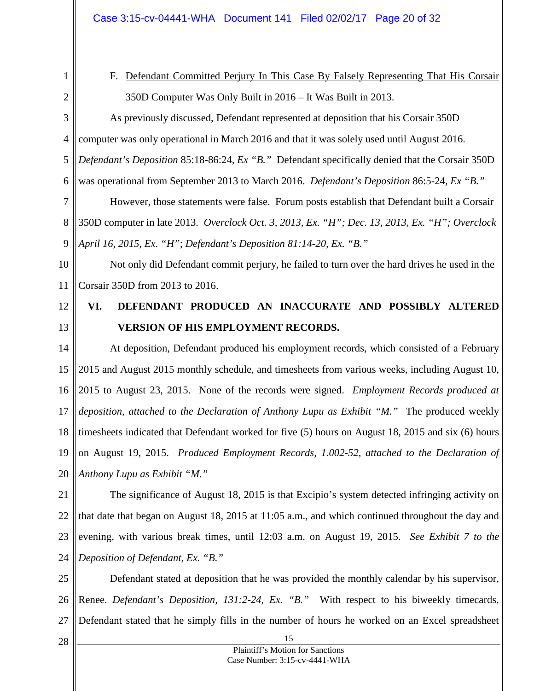<span id="page-19-0"></span>1

# F. Defendant Committed Perjury In This Case By Falsely Representing That His Corsair 350D Computer Was Only Built in 2016 – It Was Built in 2013.

2 3

4 5 6 As previously discussed, Defendant represented at deposition that his Corsair 350D computer was only operational in March 2016 and that it was solely used until August 2016. *Defendant's Deposition* 85:18-86:24*, Ex "B."* Defendant specifically denied that the Corsair 350D was operational from September 2013 to March 2016. *Defendant's Deposition* 86:5-24*, Ex "B."*

7 8 9 However, those statements were false. Forum posts establish that Defendant built a Corsair 350D computer in late 2013. *Overclock Oct. 3, 2013, Ex. "H"; Dec. 13, 2013, Ex. "H"; Overclock April 16, 2015, Ex. "H"*; *Defendant's Deposition 81:14-20, Ex. "B."*

10 11 Not only did Defendant commit perjury, he failed to turn over the hard drives he used in the Corsair 350D from 2013 to 2016.

12 13

# <span id="page-19-1"></span>**VI. DEFENDANT PRODUCED AN INACCURATE AND POSSIBLY ALTERED VERSION OF HIS EMPLOYMENT RECORDS.**

14 15 16 17 18 19 20 At deposition, Defendant produced his employment records, which consisted of a February 2015 and August 2015 monthly schedule, and timesheets from various weeks, including August 10, 2015 to August 23, 2015. None of the records were signed. *Employment Records produced at deposition, attached to the Declaration of Anthony Lupu as Exhibit "M."* The produced weekly timesheets indicated that Defendant worked for five (5) hours on August 18, 2015 and six (6) hours on August 19, 2015. *Produced Employment Records, 1.002-52, attached to the Declaration of Anthony Lupu as Exhibit "M."*

21 22 23 24 The significance of August 18, 2015 is that Excipio's system detected infringing activity on that date that began on August 18, 2015 at 11:05 a.m., and which continued throughout the day and evening, with various break times, until 12:03 a.m. on August 19, 2015. *See Exhibit 7 to the Deposition of Defendant, Ex. "B."*

25 26 27 Defendant stated at deposition that he was provided the monthly calendar by his supervisor, Renee. *Defendant's Deposition, 131:2-24, Ex. "B."* With respect to his biweekly timecards, Defendant stated that he simply fills in the number of hours he worked on an Excel spreadsheet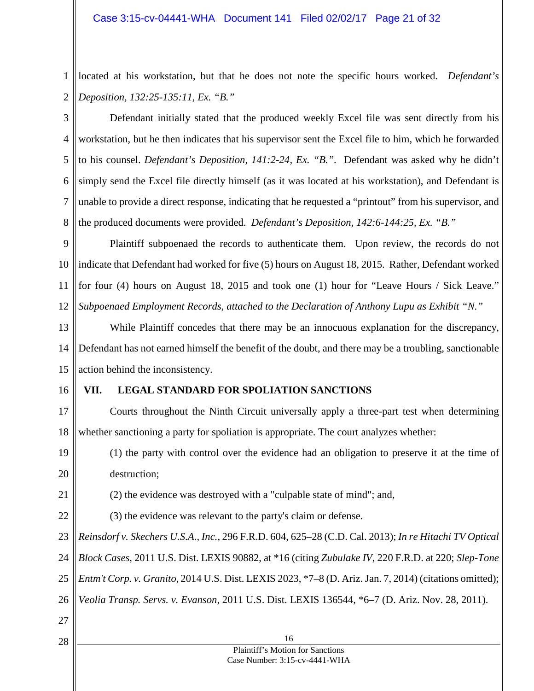1 2 located at his workstation, but that he does not note the specific hours worked. *Defendant's Deposition, 132:25-135:11, Ex. "B."*

3 4 5 6 7 8 Defendant initially stated that the produced weekly Excel file was sent directly from his workstation, but he then indicates that his supervisor sent the Excel file to him, which he forwarded to his counsel. *Defendant's Deposition, 141:2-24, Ex. "B.".* Defendant was asked why he didn't simply send the Excel file directly himself (as it was located at his workstation), and Defendant is unable to provide a direct response, indicating that he requested a "printout" from his supervisor, and the produced documents were provided. *Defendant's Deposition, 142:6-144:25, Ex. "B."*

9 10 11 12 Plaintiff subpoenaed the records to authenticate them. Upon review, the records do not indicate that Defendant had worked for five (5) hours on August 18, 2015. Rather, Defendant worked for four (4) hours on August 18, 2015 and took one (1) hour for "Leave Hours / Sick Leave." *Subpoenaed Employment Records, attached to the Declaration of Anthony Lupu as Exhibit "N."*

13 14 15 While Plaintiff concedes that there may be an innocuous explanation for the discrepancy, Defendant has not earned himself the benefit of the doubt, and there may be a troubling, sanctionable action behind the inconsistency.

16

### <span id="page-20-0"></span>**VII. LEGAL STANDARD FOR SPOLIATION SANCTIONS**

17 18 Courts throughout the Ninth Circuit universally apply a three-part test when determining whether sanctioning a party for spoliation is appropriate. The court analyzes whether:

19 20 (1) the party with control over the evidence had an obligation to preserve it at the time of destruction;

21 (2) the evidence was destroyed with a "culpable state of mind"; and,

22 (3) the evidence was relevant to the party's claim or defense.

23 *Reinsdorf v. Skechers U.S.A., Inc.*, 296 F.R.D. 604, 625–28 (C.D. Cal. 2013); *In re Hitachi TV Optical* 

24 *Block Cases*, 2011 U.S. Dist. LEXIS 90882, at \*16 (citing *Zubulake IV*, 220 F.R.D. at 220; *Slep-Tone* 

25 *Entm't Corp. v. Granito*, 2014 U.S. Dist. LEXIS 2023, \*7–8 (D. Ariz. Jan. 7, 2014) (citations omitted);

26 *Veolia Transp. Servs. v. Evanson*, 2011 U.S. Dist. LEXIS 136544, \*6–7 (D. Ariz. Nov. 28, 2011).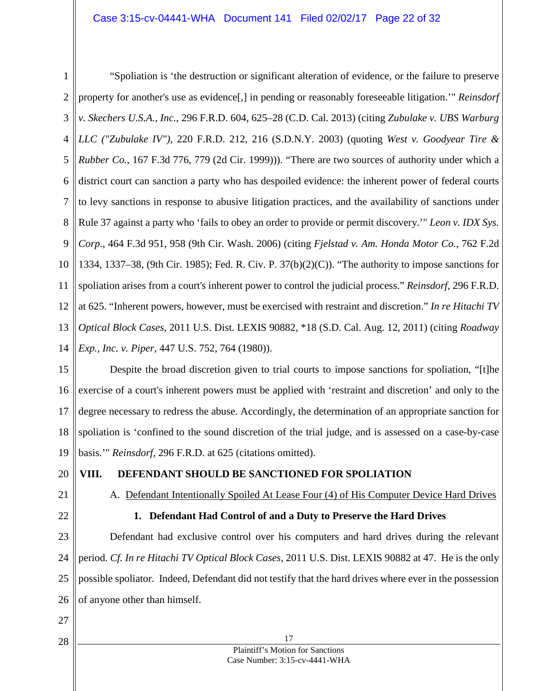1 2 3 4 5 6 7 8 9 10 11 12 13 14 "Spoliation is 'the destruction or significant alteration of evidence, or the failure to preserve property for another's use as evidence[,] in pending or reasonably foreseeable litigation.'" *Reinsdorf v. Skechers U.S.A., Inc.*, 296 F.R.D. 604, 625–28 (C.D. Cal. 2013) (citing *Zubulake v. UBS Warburg LLC ("Zubulake IV")*, 220 F.R.D. 212, 216 (S.D.N.Y. 2003) (quoting *West v. Goodyear Tire & Rubber Co.*, 167 F.3d 776, 779 (2d Cir. 1999))). "There are two sources of authority under which a district court can sanction a party who has despoiled evidence: the inherent power of federal courts to levy sanctions in response to abusive litigation practices, and the availability of sanctions under Rule 37 against a party who 'fails to obey an order to provide or permit discovery.'" *Leon v. IDX Sys. Corp.*, 464 F.3d 951, 958 (9th Cir. Wash. 2006) (citing *Fjelstad v. Am. Honda Motor Co.*, 762 F.2d 1334, 1337–38, (9th Cir. 1985); Fed. R. Civ. P. 37(b)(2)(C)). "The authority to impose sanctions for spoliation arises from a court's inherent power to control the judicial process." *Reinsdorf*, 296 F.R.D. at 625. "Inherent powers, however, must be exercised with restraint and discretion." *In re Hitachi TV Optical Block Cases*, 2011 U.S. Dist. LEXIS 90882, \*18 (S.D. Cal. Aug. 12, 2011) (citing *Roadway Exp., Inc. v. Piper*, 447 U.S. 752, 764 (1980)).

15 16 17 18 19 Despite the broad discretion given to trial courts to impose sanctions for spoliation, "[t]he exercise of a court's inherent powers must be applied with 'restraint and discretion' and only to the degree necessary to redress the abuse. Accordingly, the determination of an appropriate sanction for spoliation is 'confined to the sound discretion of the trial judge, and is assessed on a case-by-case basis.'" *Reinsdorf*, 296 F.R.D. at 625 (citations omitted).

20

## <span id="page-21-1"></span><span id="page-21-0"></span>**VIII. DEFENDANT SHOULD BE SANCTIONED FOR SPOLIATION**

- 21
- <span id="page-21-2"></span>22

# A. Defendant Intentionally Spoiled At Lease Four (4) of His Computer Device Hard Drives **1. Defendant Had Control of and a Duty to Preserve the Hard Drives**

23 24 25 26 Defendant had exclusive control over his computers and hard drives during the relevant period. *Cf. In re Hitachi TV Optical Block Cases,* 2011 U.S. Dist. LEXIS 90882 at 47. He is the only possible spoliator. Indeed, Defendant did not testify that the hard drives where ever in the possession of anyone other than himself.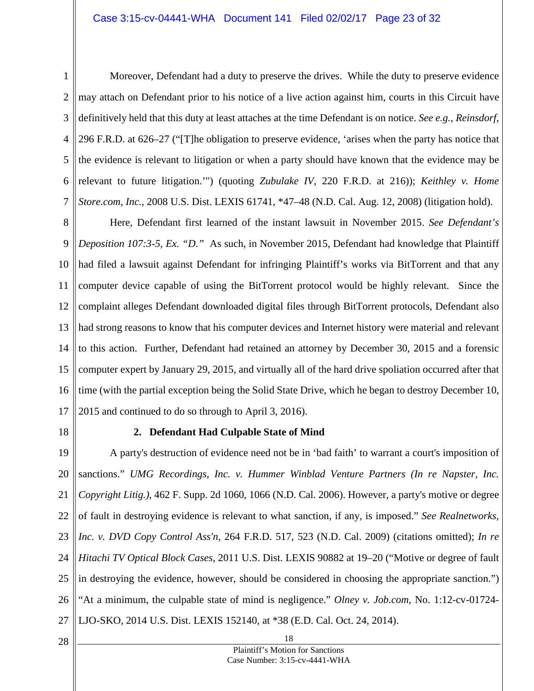1 2 3 4 5 6 7 Moreover, Defendant had a duty to preserve the drives. While the duty to preserve evidence may attach on Defendant prior to his notice of a live action against him, courts in this Circuit have definitively held that this duty at least attaches at the time Defendant is on notice. *See e.g.*, *Reinsdorf*, 296 F.R.D. at 626–27 ("[T]he obligation to preserve evidence, 'arises when the party has notice that the evidence is relevant to litigation or when a party should have known that the evidence may be relevant to future litigation.'") (quoting *Zubulake IV*, 220 F.R.D. at 216)); *Keithley v. Home Store.com, Inc.*, 2008 U.S. Dist. LEXIS 61741, \*47–48 (N.D. Cal. Aug. 12, 2008) (litigation hold).

8 9 10 11 12 13 14 15 16 17 Here, Defendant first learned of the instant lawsuit in November 2015. *See Defendant's Deposition 107:3-5, Ex. "D."* As such, in November 2015, Defendant had knowledge that Plaintiff had filed a lawsuit against Defendant for infringing Plaintiff's works via BitTorrent and that any computer device capable of using the BitTorrent protocol would be highly relevant. Since the complaint alleges Defendant downloaded digital files through BitTorrent protocols, Defendant also had strong reasons to know that his computer devices and Internet history were material and relevant to this action. Further, Defendant had retained an attorney by December 30, 2015 and a forensic computer expert by January 29, 2015, and virtually all of the hard drive spoliation occurred after that time (with the partial exception being the Solid State Drive, which he began to destroy December 10, 2015 and continued to do so through to April 3, 2016).

<span id="page-22-0"></span>18

#### **2. Defendant Had Culpable State of Mind**

19 20 21 22 23 24 25 26 27 A party's destruction of evidence need not be in 'bad faith' to warrant a court's imposition of sanctions." *UMG Recordings, Inc. v. Hummer Winblad Venture Partners (In re Napster, Inc. Copyright Litig.)*, 462 F. Supp. 2d 1060, 1066 (N.D. Cal. 2006). However, a party's motive or degree of fault in destroying evidence is relevant to what sanction, if any, is imposed." *See Realnetworks, Inc. v. DVD Copy Control Ass'n*, 264 F.R.D. 517, 523 (N.D. Cal. 2009) (citations omitted); *In re Hitachi TV Optical Block Cases*, 2011 U.S. Dist. LEXIS 90882 at 19–20 ("Motive or degree of fault in destroying the evidence, however, should be considered in choosing the appropriate sanction.") "At a minimum, the culpable state of mind is negligence." *Olney v. Job.com*, No. 1:12-cv-01724- LJO-SKO, 2014 U.S. Dist. LEXIS 152140, at \*38 (E.D. Cal. Oct. 24, 2014).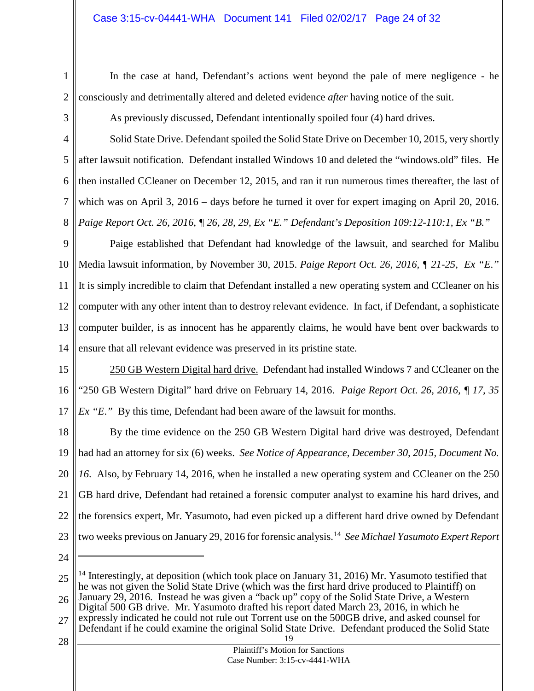1 2

In the case at hand, Defendant's actions went beyond the pale of mere negligence - he consciously and detrimentally altered and deleted evidence *after* having notice of the suit.

3

As previously discussed, Defendant intentionally spoiled four (4) hard drives.

4 5 6 7 8 Solid State Drive. Defendant spoiled the Solid State Drive on December 10, 2015, very shortly after lawsuit notification. Defendant installed Windows 10 and deleted the "windows.old" files. He then installed CCleaner on December 12, 2015, and ran it run numerous times thereafter, the last of which was on April 3, 2016 – days before he turned it over for expert imaging on April 20, 2016. *Paige Report Oct. 26, 2016, ¶ 26, 28, 29, Ex "E." Defendant's Deposition 109:12-110:1, Ex "B."* 

9 10 11 12 13 14 Paige established that Defendant had knowledge of the lawsuit, and searched for Malibu Media lawsuit information, by November 30, 2015. *Paige Report Oct. 26, 2016, ¶ 21-25, Ex "E*.*"* It is simply incredible to claim that Defendant installed a new operating system and CCleaner on his computer with any other intent than to destroy relevant evidence. In fact, if Defendant, a sophisticate computer builder, is as innocent has he apparently claims, he would have bent over backwards to ensure that all relevant evidence was preserved in its pristine state.

15 16 17 250 GB Western Digital hard drive. Defendant had installed Windows 7 and CCleaner on the "250 GB Western Digital" hard drive on February 14, 2016. *Paige Report Oct. 26, 2016, ¶ 17, 35 Ex "E*.*"* By this time, Defendant had been aware of the lawsuit for months.

18 19 20 21 22 23 By the time evidence on the 250 GB Western Digital hard drive was destroyed, Defendant had had an attorney for six (6) weeks. *See Notice of Appearance, December 30, 2015, Document No. 16*. Also, by February 14, 2016, when he installed a new operating system and CCleaner on the 250 GB hard drive, Defendant had retained a forensic computer analyst to examine his hard drives, and the forensics expert, Mr. Yasumoto, had even picked up a different hard drive owned by Defendant two weeks previous on January 29, 2016 for forensic analysis.[14](#page-23-0) *See Michael Yasumoto Expert Report* 

24

 $\overline{a}$ 

<span id="page-23-0"></span><sup>25</sup> 26 27 <sup>14</sup> Interestingly, at deposition (which took place on January 31, 2016) Mr. Yasumoto testified that he was not given the Solid State Drive (which was the first hard drive produced to Plaintiff) on January 29, 2016. Instead he was given a "back up" copy of the Solid State Drive, a Western Digital 500 GB drive. Mr. Yasumoto drafted his report dated March 23, 2016, in which he expressly indicated he could not rule out Torrent use on the 500GB drive, and asked counsel for

<sup>19</sup> Defendant if he could examine the original Solid State Drive. Defendant produced the Solid State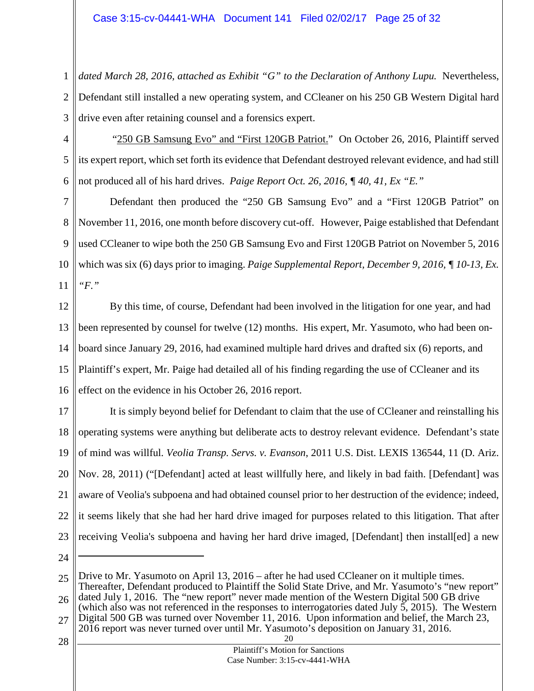1 2 3 *dated March 28, 2016, attached as Exhibit "G" to the Declaration of Anthony Lupu.* Nevertheless, Defendant still installed a new operating system, and CCleaner on his 250 GB Western Digital hard drive even after retaining counsel and a forensics expert.

4 5 6 "250 GB Samsung Evo" and "First 120GB Patriot." On October 26, 2016, Plaintiff served its expert report, which set forth its evidence that Defendant destroyed relevant evidence, and had still not produced all of his hard drives. *Paige Report Oct. 26, 2016, ¶ 40, 41, Ex "E."*

7 8 9 10 11 Defendant then produced the "250 GB Samsung Evo" and a "First 120GB Patriot" on November 11, 2016, one month before discovery cut-off. However, Paige established that Defendant used CCleaner to wipe both the 250 GB Samsung Evo and First 120GB Patriot on November 5, 2016 which was six (6) days prior to imaging. *Paige Supplemental Report, December 9, 2016, ¶ 10-13, Ex. "F."*

12 13 14 15 16 By this time, of course, Defendant had been involved in the litigation for one year, and had been represented by counsel for twelve (12) months. His expert, Mr. Yasumoto, who had been onboard since January 29, 2016, had examined multiple hard drives and drafted six (6) reports, and Plaintiff's expert, Mr. Paige had detailed all of his finding regarding the use of CCleaner and its effect on the evidence in his October 26, 2016 report.

17 18 19 20 21 22 23 It is simply beyond belief for Defendant to claim that the use of CCleaner and reinstalling his operating systems were anything but deliberate acts to destroy relevant evidence. Defendant's state of mind was willful. *Veolia Transp. Servs. v. Evanson*, 2011 U.S. Dist. LEXIS 136544, 11 (D. Ariz. Nov. 28, 2011) ("[Defendant] acted at least willfully here, and likely in bad faith. [Defendant] was aware of Veolia's subpoena and had obtained counsel prior to her destruction of the evidence; indeed, it seems likely that she had her hard drive imaged for purposes related to this litigation. That after receiving Veolia's subpoena and having her hard drive imaged, [Defendant] then install[ed] a new

24

 $\overline{a}$ 

- 26 27 dated July 1, 2016. The "new report" never made mention of the Western Digital 500 GB drive (which also was not referenced in the responses to interrogatories dated July 5, 2015). The Western Digital 500 GB was turned over November 11, 2016. Upon information and belief, the March 23, 2016 report was never turned over until Mr. Yasumoto's deposition on January 31, 2016.
- 28

<sup>25</sup> Drive to Mr. Yasumoto on April 13, 2016 – after he had used CCleaner on it multiple times. Thereafter, Defendant produced to Plaintiff the Solid State Drive, and Mr. Yasumoto's "new report"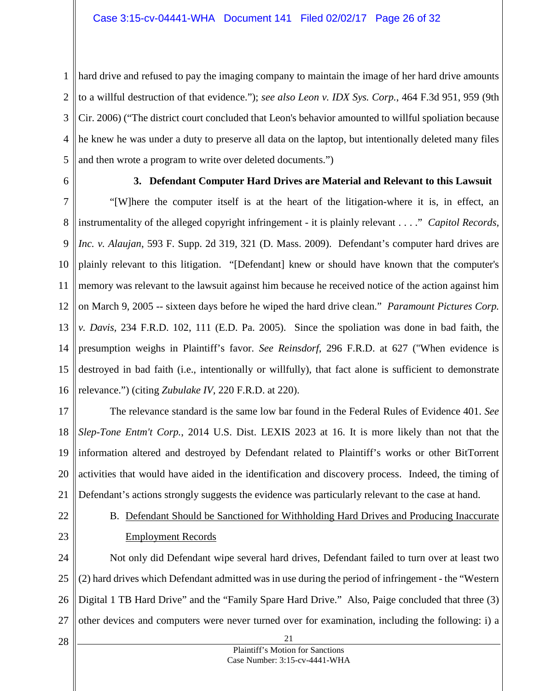1 2 3 4 5 hard drive and refused to pay the imaging company to maintain the image of her hard drive amounts to a willful destruction of that evidence."); *see also Leon v. IDX Sys. Corp.*, 464 F.3d 951, 959 (9th Cir. 2006) ("The district court concluded that Leon's behavior amounted to willful spoliation because he knew he was under a duty to preserve all data on the laptop, but intentionally deleted many files and then wrote a program to write over deleted documents.")

<span id="page-25-0"></span>6

#### **3. Defendant Computer Hard Drives are Material and Relevant to this Lawsuit**

7 8 9 10 11 12 13 14 15 16 "[W]here the computer itself is at the heart of the litigation-where it is, in effect, an instrumentality of the alleged copyright infringement - it is plainly relevant . . . ." *Capitol Records, Inc. v. Alaujan*, 593 F. Supp. 2d 319, 321 (D. Mass. 2009). Defendant's computer hard drives are plainly relevant to this litigation. "[Defendant] knew or should have known that the computer's memory was relevant to the lawsuit against him because he received notice of the action against him on March 9, 2005 -- sixteen days before he wiped the hard drive clean." *Paramount Pictures Corp. v. Davis,* 234 F.R.D. 102, 111 (E.D. Pa. 2005). Since the spoliation was done in bad faith, the presumption weighs in Plaintiff's favor. *See Reinsdorf*, 296 F.R.D. at 627 ("When evidence is destroyed in bad faith (i.e., intentionally or willfully), that fact alone is sufficient to demonstrate relevance.") (citing *Zubulake IV*, 220 F.R.D. at 220).

17 18 19 20 21 The relevance standard is the same low bar found in the Federal Rules of Evidence 401. *See Slep-Tone Entm't Corp.*, 2014 U.S. Dist. LEXIS 2023 at 16. It is more likely than not that the information altered and destroyed by Defendant related to Plaintiff's works or other BitTorrent activities that would have aided in the identification and discovery process. Indeed, the timing of Defendant's actions strongly suggests the evidence was particularly relevant to the case at hand.

- <span id="page-25-1"></span>22 23
- B. Defendant Should be Sanctioned for Withholding Hard Drives and Producing Inaccurate Employment Records

24 25 26 27 Not only did Defendant wipe several hard drives, Defendant failed to turn over at least two (2) hard drives which Defendant admitted was in use during the period of infringement - the "Western Digital 1 TB Hard Drive" and the "Family Spare Hard Drive." Also, Paige concluded that three (3) other devices and computers were never turned over for examination, including the following: i) a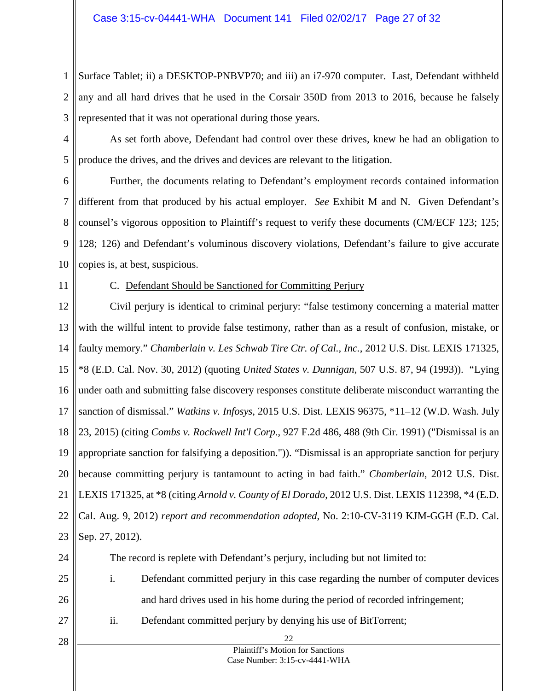1 2 3 Surface Tablet; ii) a DESKTOP-PNBVP70; and iii) an i7-970 computer. Last, Defendant withheld any and all hard drives that he used in the Corsair 350D from 2013 to 2016, because he falsely represented that it was not operational during those years.

4

5

As set forth above, Defendant had control over these drives, knew he had an obligation to produce the drives, and the drives and devices are relevant to the litigation.

6 7 8 9 10 Further, the documents relating to Defendant's employment records contained information different from that produced by his actual employer. *See* Exhibit M and N. Given Defendant's counsel's vigorous opposition to Plaintiff's request to verify these documents (CM/ECF 123; 125; 128; 126) and Defendant's voluminous discovery violations, Defendant's failure to give accurate copies is, at best, suspicious.

<span id="page-26-0"></span>11

#### C. Defendant Should be Sanctioned for Committing Perjury

12 13 14 15 16 17 18 19 20 21 22 23 Civil perjury is identical to criminal perjury: "false testimony concerning a material matter with the willful intent to provide false testimony, rather than as a result of confusion, mistake, or faulty memory." *Chamberlain v. Les Schwab Tire Ctr. of Cal., Inc.*, 2012 U.S. Dist. LEXIS 171325, \*8 (E.D. Cal. Nov. 30, 2012) (quoting *United States v. Dunnigan*, 507 U.S. 87, 94 (1993)). "Lying under oath and submitting false discovery responses constitute deliberate misconduct warranting the sanction of dismissal." *Watkins v. Infosys*, 2015 U.S. Dist. LEXIS 96375, \*11–12 (W.D. Wash. July 23, 2015) (citing *Combs v. Rockwell Int'l Corp*., 927 F.2d 486, 488 (9th Cir. 1991) ("Dismissal is an appropriate sanction for falsifying a deposition.")). "Dismissal is an appropriate sanction for perjury because committing perjury is tantamount to acting in bad faith." *Chamberlain*, 2012 U.S. Dist. LEXIS 171325, at \*8 (citing *Arnold v. County of El Dorado*, 2012 U.S. Dist. LEXIS 112398, \*4 (E.D. Cal. Aug. 9, 2012) *report and recommendation adopted*, No. 2:10-CV-3119 KJM-GGH (E.D. Cal. Sep. 27, 2012).

- 24
- 25
- 26

27

The record is replete with Defendant's perjury, including but not limited to:

- i. Defendant committed perjury in this case regarding the number of computer devices
- and hard drives used in his home during the period of recorded infringement;
- ii. Defendant committed perjury by denying his use of BitTorrent;
- 28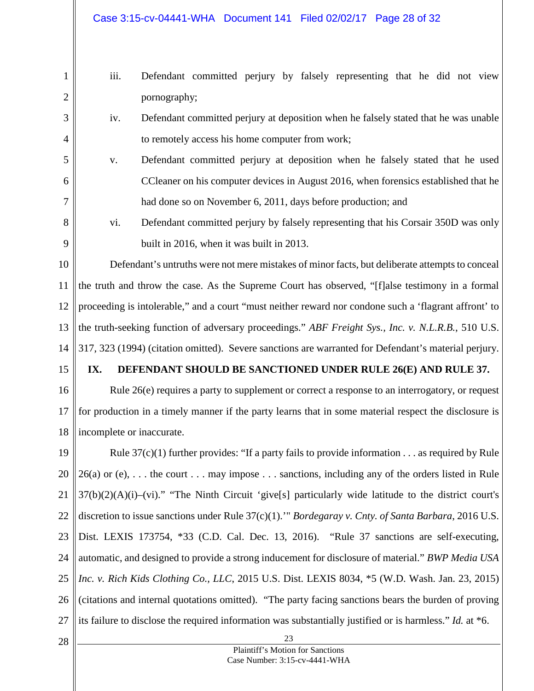- 1 2 3 4 5 6 7 8 iii. Defendant committed perjury by falsely representing that he did not view pornography; iv. Defendant committed perjury at deposition when he falsely stated that he was unable to remotely access his home computer from work; v. Defendant committed perjury at deposition when he falsely stated that he used CCleaner on his computer devices in August 2016, when forensics established that he had done so on November 6, 2011, days before production; and
- 9

vi. Defendant committed perjury by falsely representing that his Corsair 350D was only built in 2016, when it was built in 2013.

10 11 12 13 14 Defendant's untruths were not mere mistakes of minor facts, but deliberate attempts to conceal the truth and throw the case. As the Supreme Court has observed, "[f]alse testimony in a formal proceeding is intolerable," and a court "must neither reward nor condone such a 'flagrant affront' to the truth-seeking function of adversary proceedings." *ABF Freight Sys., Inc. v. N.L.R.B.*, 510 U.S. 317, 323 (1994) (citation omitted). Severe sanctions are warranted for Defendant's material perjury.

15

### <span id="page-27-0"></span>**IX. DEFENDANT SHOULD BE SANCTIONED UNDER RULE 26(E) AND RULE 37.**

16 17 18 Rule 26(e) requires a party to supplement or correct a response to an interrogatory, or request for production in a timely manner if the party learns that in some material respect the disclosure is incomplete or inaccurate.

19 20 21 22 23 24 25 26 27 Rule  $37(c)(1)$  further provides: "If a party fails to provide information . . . as required by Rule  $26(a)$  or (e), ... the court ... may impose ... sanctions, including any of the orders listed in Rule  $37(b)(2)(A)(i)$ –(vi)." "The Ninth Circuit 'give[s] particularly wide latitude to the district court's discretion to issue sanctions under Rule 37(c)(1).'" *Bordegaray v. Cnty. of Santa Barbara*, 2016 U.S. Dist. LEXIS 173754, \*33 (C.D. Cal. Dec. 13, 2016). "Rule 37 sanctions are self-executing, automatic, and designed to provide a strong inducement for disclosure of material." *BWP Media USA Inc. v. Rich Kids Clothing Co., LLC*, 2015 U.S. Dist. LEXIS 8034, \*5 (W.D. Wash. Jan. 23, 2015) (citations and internal quotations omitted). "The party facing sanctions bears the burden of proving its failure to disclose the required information was substantially justified or is harmless." *Id.* at \*6.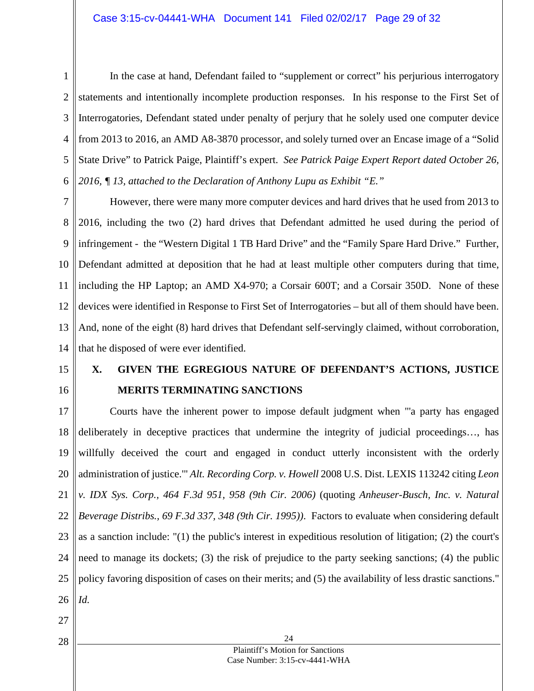1 2 3 4 5 6 In the case at hand, Defendant failed to "supplement or correct" his perjurious interrogatory statements and intentionally incomplete production responses. In his response to the First Set of Interrogatories, Defendant stated under penalty of perjury that he solely used one computer device from 2013 to 2016, an AMD A8-3870 processor, and solely turned over an Encase image of a "Solid State Drive" to Patrick Paige, Plaintiff's expert. *See Patrick Paige Expert Report dated October 26, 2016, ¶ 13, attached to the Declaration of Anthony Lupu as Exhibit "E."*

7 8 9 10 11 12 13 14 However, there were many more computer devices and hard drives that he used from 2013 to 2016, including the two (2) hard drives that Defendant admitted he used during the period of infringement - the "Western Digital 1 TB Hard Drive" and the "Family Spare Hard Drive." Further, Defendant admitted at deposition that he had at least multiple other computers during that time, including the HP Laptop; an AMD X4-970; a Corsair 600T; and a Corsair 350D. None of these devices were identified in Response to First Set of Interrogatories – but all of them should have been. And, none of the eight (8) hard drives that Defendant self-servingly claimed, without corroboration, that he disposed of were ever identified.

- 15
- 16

# <span id="page-28-0"></span>**X. GIVEN THE EGREGIOUS NATURE OF DEFENDANT'S ACTIONS, JUSTICE MERITS TERMINATING SANCTIONS**

17 18 19 20 21 22 23 24 25 26 Courts have the inherent power to impose default judgment when "'a party has engaged deliberately in deceptive practices that undermine the integrity of judicial proceedings…, has willfully deceived the court and engaged in conduct utterly inconsistent with the orderly administration of justice.'" *Alt. Recording Corp. v. Howell* 2008 U.S. Dist. LEXIS 113242 citing *[Leon](http://advance.lexis.com/api/document?collection=cases&id=urn:contentItem:4KXX-8900-0038-X0MS-00000-00&context=)  [v. IDX Sys. Corp.,](http://advance.lexis.com/api/document?collection=cases&id=urn:contentItem:4KXX-8900-0038-X0MS-00000-00&context=) [464 F.3d 951, 958 \(9th Cir. 2006\)](http://advance.lexis.com/api/document?collection=cases&id=urn:contentItem:4KXX-8900-0038-X0MS-00000-00&context=)* (quoting *[Anheuser-Busch, Inc. v. Natural](http://advance.lexis.com/api/document?collection=cases&id=urn:contentItem:3S4X-B4X0-001T-D44W-00000-00&context=)  [Beverage Distribs.,](http://advance.lexis.com/api/document?collection=cases&id=urn:contentItem:3S4X-B4X0-001T-D44W-00000-00&context=) [69 F.3d 337, 348 \(9th Cir. 1995\)\)](http://advance.lexis.com/api/document?collection=cases&id=urn:contentItem:3S4X-B4X0-001T-D44W-00000-00&context=)*. Factors to evaluate when considering default as a sanction include: "(1) the public's interest in expeditious resolution of litigation; (2) the court's need to manage its dockets; (3) the risk of prejudice to the party seeking sanctions; (4) the public policy favoring disposition of cases on their merits; and (5) the availability of less drastic sanctions." *Id.*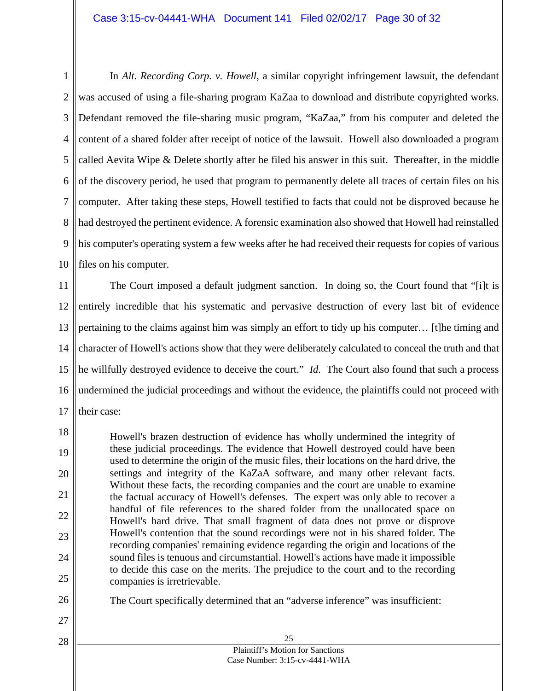#### Case 3:15-cv-04441-WHA Document 141 Filed 02/02/17 Page 30 of 32

1 2 3 4 5 6 7 8 9 10 In *Alt. Recording Corp. v. Howell*, a similar copyright infringement lawsuit, the defendant was accused of using a file-sharing program KaZaa to download and distribute copyrighted works. Defendant removed the file-sharing music program, "KaZaa," from his computer and deleted the content of a shared folder after receipt of notice of the lawsuit. Howell also downloaded a program called Aevita Wipe & Delete shortly after he filed his answer in this suit. Thereafter, in the middle of the discovery period, he used that program to permanently delete all traces of certain files on his computer. After taking these steps, Howell testified to facts that could not be disproved because he had destroyed the pertinent evidence. A forensic examination also showed that Howell had reinstalled his computer's operating system a few weeks after he had received their requests for copies of various files on his computer.

11 12 13 14 15 16 17 The Court imposed a default judgment sanction. In doing so, the Court found that "[i]t is entirely incredible that his systematic and pervasive destruction of every last bit of evidence pertaining to the claims against him was simply an effort to tidy up his computer… [t]he timing and character of Howell's actions show that they were deliberately calculated to conceal the truth and that he willfully destroyed evidence to deceive the court." *Id*. The Court also found that such a process undermined the judicial proceedings and without the evidence, the plaintiffs could not proceed with their case:

18 19 20 21 22 23 24 25 Howell's brazen destruction of evidence has wholly undermined the integrity of these judicial proceedings. The evidence that Howell destroyed could have been used to determine the origin of the music files, their locations on the hard drive, the settings and integrity of the KaZaA software, and many other relevant facts. Without these facts, the recording companies and the court are unable to examine the factual accuracy of Howell's defenses. The expert was only able to recover a handful of file references to the shared folder from the unallocated space on Howell's hard drive. That small fragment of data does not prove or disprove Howell's contention that the sound recordings were not in his shared folder. The recording companies' remaining evidence regarding the origin and locations of the sound files is tenuous and circumstantial. Howell's actions have made it impossible to decide this case on the merits. The prejudice to the court and to the recording companies is irretrievable.

26

The Court specifically determined that an "adverse inference" was insufficient: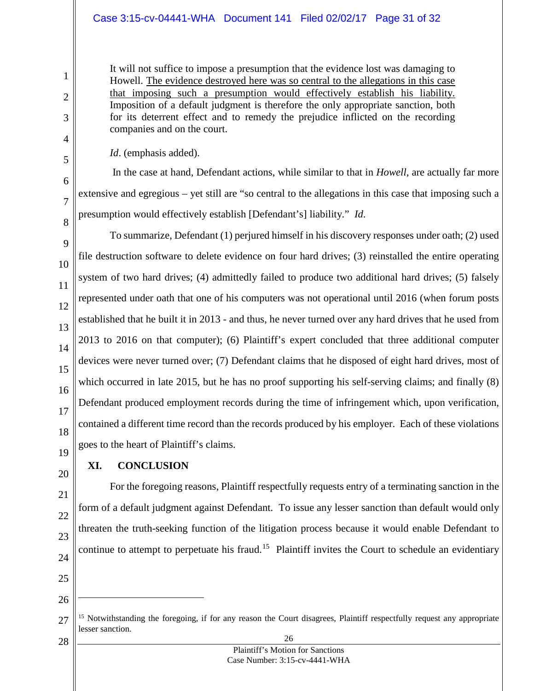#### Case 3:15-cv-04441-WHA Document 141 Filed 02/02/17 Page 31 of 32

It will not suffice to impose a presumption that the evidence lost was damaging to Howell. The evidence destroyed here was so central to the allegations in this case that imposing such a presumption would effectively establish his liability. Imposition of a default judgment is therefore the only appropriate sanction, both for its deterrent effect and to remedy the prejudice inflicted on the recording companies and on the court.

*Id*. (emphasis added).

In the case at hand, Defendant actions, while similar to that in *Howell*, are actually far more extensive and egregious – yet still are "so central to the allegations in this case that imposing such a presumption would effectively establish [Defendant's] liability." *Id*.

9 10 11 12 13 14 15 16 17 18 To summarize, Defendant (1) perjured himself in his discovery responses under oath; (2) used file destruction software to delete evidence on four hard drives; (3) reinstalled the entire operating system of two hard drives; (4) admittedly failed to produce two additional hard drives; (5) falsely represented under oath that one of his computers was not operational until 2016 (when forum posts established that he built it in 2013 - and thus, he never turned over any hard drives that he used from 2013 to 2016 on that computer); (6) Plaintiff's expert concluded that three additional computer devices were never turned over; (7) Defendant claims that he disposed of eight hard drives, most of which occurred in late 2015, but he has no proof supporting his self-serving claims; and finally (8) Defendant produced employment records during the time of infringement which, upon verification, contained a different time record than the records produced by his employer. Each of these violations goes to the heart of Plaintiff's claims.

19 20

1

2

3

4

5

6

7

8

#### <span id="page-30-0"></span>**XI. CONCLUSION**

21

22 23

24

- 25
- 26

 $\overline{a}$ 

28

For the foregoing reasons, Plaintiff respectfully requests entry of a terminating sanction in the

form of a default judgment against Defendant. To issue any lesser sanction than default would only

threaten the truth-seeking function of the litigation process because it would enable Defendant to

continue to attempt to perpetuate his fraud.<sup>[15](#page-30-1)</sup> Plaintiff invites the Court to schedule an evidentiary

<span id="page-30-1"></span><sup>27</sup> <sup>15</sup> Notwithstanding the foregoing, if for any reason the Court disagrees, Plaintiff respectfully request any appropriate lesser sanction.